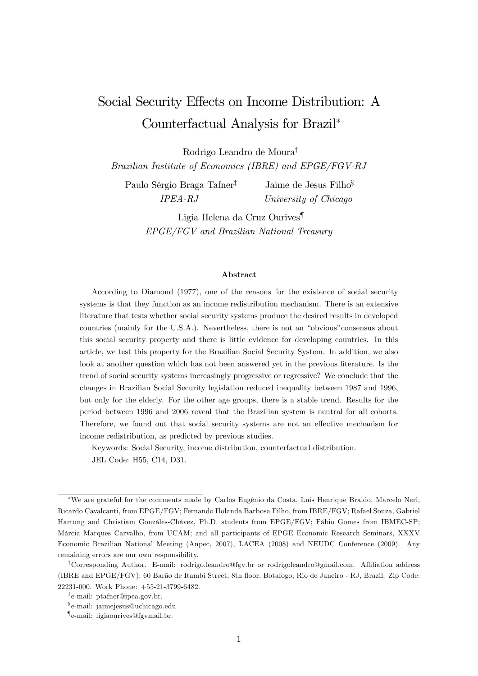# Social Security Effects on Income Distribution: A Counterfactual Analysis for Brazil

Rodrigo Leandro de Moura<sup>†</sup>

Brazilian Institute of Economics (IBRE) and EPGE/FGV-RJ

Paulo Sérgio Braga Tafner<sup>†</sup> IPEA-RJ

Jaime de Jesus Filho<sup>§</sup> University of Chicago

Ligia Helena da Cruz Ourives{ EPGE/FGV and Brazilian National Treasury

#### Abstract

According to Diamond (1977), one of the reasons for the existence of social security systems is that they function as an income redistribution mechanism. There is an extensive literature that tests whether social security systems produce the desired results in developed countries (mainly for the U.S.A.). Nevertheless, there is not an "obvious" consensus about this social security property and there is little evidence for developing countries. In this article, we test this property for the Brazilian Social Security System. In addition, we also look at another question which has not been answered yet in the previous literature. Is the trend of social security systems increasingly progressive or regressive? We conclude that the changes in Brazilian Social Security legislation reduced inequality between 1987 and 1996, but only for the elderly. For the other age groups, there is a stable trend. Results for the period between 1996 and 2006 reveal that the Brazilian system is neutral for all cohorts. Therefore, we found out that social security systems are not an effective mechanism for income redistribution, as predicted by previous studies.

Keywords: Social Security, income distribution, counterfactual distribution. JEL Code: H55, C14, D31.

<sup>\*</sup>We are grateful for the comments made by Carlos Eugênio da Costa, Luis Henrique Braido, Marcelo Neri, Ricardo Cavalcanti, from EPGE/FGV; Fernando Holanda Barbosa Filho, from IBRE/FGV; Rafael Souza, Gabriel Hartung and Christiam Gonzáles-Chávez, Ph.D. students from EPGE/FGV; Fábio Gomes from IBMEC-SP; Márcia Marques Carvalho, from UCAM; and all participants of EPGE Economic Research Seminars, XXXV Economic Brazilian National Meeting (Anpec, 2007), LACEA (2008) and NEUDC Conference (2009). Any remaining errors are our own responsibility.

<sup>&</sup>lt;sup>†</sup>Corresponding Author. E-mail: rodrigo.leandro@fgv.br or rodrigoleandro@gmail.com. Affiliation address (IBRE and EPGE/FGV): 60 Barão de Itambi Street, 8th floor, Botafogo, Rio de Janeiro - RJ, Brazil. Zip Code: 22231-000. Work Phone: +55-21-3799-6482.

<sup>&</sup>lt;sup>‡</sup>e-mail: ptafner@ipea.gov.br.

<sup>&</sup>lt;sup>§</sup>e-mail: jaimejesus@uchicago.edu

<sup>{</sup> e-mail: ligiaourives@fgvmail.br.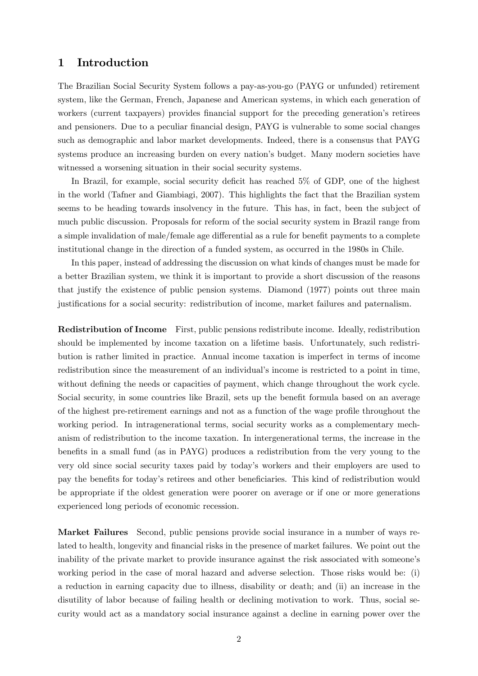### 1 Introduction

The Brazilian Social Security System follows a pay-as-you-go (PAYG or unfunded) retirement system, like the German, French, Japanese and American systems, in which each generation of workers (current taxpayers) provides financial support for the preceding generation's retirees and pensioners. Due to a peculiar financial design, PAYG is vulnerable to some social changes such as demographic and labor market developments. Indeed, there is a consensus that PAYG systems produce an increasing burden on every nation's budget. Many modern societies have witnessed a worsening situation in their social security systems.

In Brazil, for example, social security deficit has reached  $5\%$  of GDP, one of the highest in the world (Tafner and Giambiagi, 2007). This highlights the fact that the Brazilian system seems to be heading towards insolvency in the future. This has, in fact, been the subject of much public discussion. Proposals for reform of the social security system in Brazil range from a simple invalidation of male/female age differential as a rule for benefit payments to a complete institutional change in the direction of a funded system, as occurred in the 1980s in Chile.

In this paper, instead of addressing the discussion on what kinds of changes must be made for a better Brazilian system, we think it is important to provide a short discussion of the reasons that justify the existence of public pension systems. Diamond (1977) points out three main justiÖcations for a social security: redistribution of income, market failures and paternalism.

Redistribution of Income First, public pensions redistribute income. Ideally, redistribution should be implemented by income taxation on a lifetime basis. Unfortunately, such redistribution is rather limited in practice. Annual income taxation is imperfect in terms of income redistribution since the measurement of an individual's income is restricted to a point in time, without defining the needs or capacities of payment, which change throughout the work cycle. Social security, in some countries like Brazil, sets up the benefit formula based on an average of the highest pre-retirement earnings and not as a function of the wage profile throughout the working period. In intragenerational terms, social security works as a complementary mechanism of redistribution to the income taxation. In intergenerational terms, the increase in the benefits in a small fund (as in PAYG) produces a redistribution from the very young to the very old since social security taxes paid by todayís workers and their employers are used to pay the benefits for today's retirees and other beneficiaries. This kind of redistribution would be appropriate if the oldest generation were poorer on average or if one or more generations experienced long periods of economic recession.

Market Failures Second, public pensions provide social insurance in a number of ways related to health, longevity and financial risks in the presence of market failures. We point out the inability of the private market to provide insurance against the risk associated with someone's working period in the case of moral hazard and adverse selection. Those risks would be: (i) a reduction in earning capacity due to illness, disability or death; and (ii) an increase in the disutility of labor because of failing health or declining motivation to work. Thus, social security would act as a mandatory social insurance against a decline in earning power over the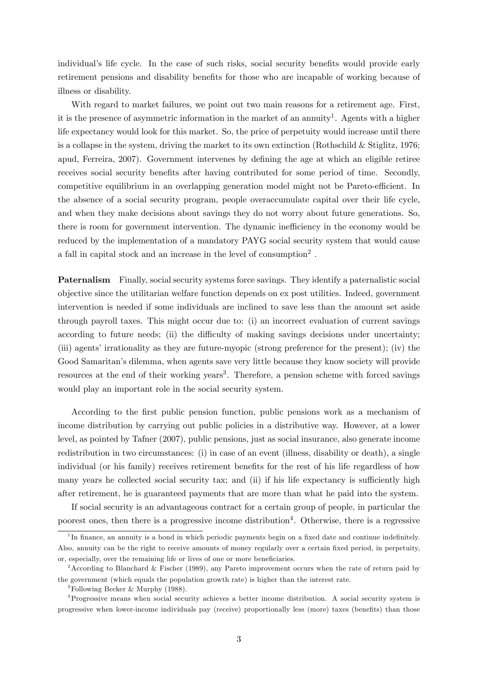individual's life cycle. In the case of such risks, social security benefits would provide early retirement pensions and disability benefits for those who are incapable of working because of illness or disability.

With regard to market failures, we point out two main reasons for a retirement age. First, it is the presence of asymmetric information in the market of an annuity<sup>1</sup>. Agents with a higher life expectancy would look for this market. So, the price of perpetuity would increase until there is a collapse in the system, driving the market to its own extinction (Rothschild & Stiglitz, 1976; apud, Ferreira, 2007). Government intervenes by defining the age at which an eligible retiree receives social security benefits after having contributed for some period of time. Secondly, competitive equilibrium in an overlapping generation model might not be Pareto-efficient. In the absence of a social security program, people overaccumulate capital over their life cycle, and when they make decisions about savings they do not worry about future generations. So, there is room for government intervention. The dynamic inefficiency in the economy would be reduced by the implementation of a mandatory PAYG social security system that would cause a fall in capital stock and an increase in the level of consumption<sup>2</sup>.

Paternalism Finally, social security systems force savings. They identify a paternalistic social objective since the utilitarian welfare function depends on ex post utilities. Indeed, government intervention is needed if some individuals are inclined to save less than the amount set aside through payroll taxes. This might occur due to: (i) an incorrect evaluation of current savings according to future needs; (ii) the difficulty of making savings decisions under uncertainty; (iii) agents' irrationality as they are future-myopic (strong preference for the present); (iv) the Good Samaritan's dilemma, when agents save very little because they know society will provide resources at the end of their working years<sup>3</sup>. Therefore, a pension scheme with forced savings would play an important role in the social security system.

According to the Örst public pension function, public pensions work as a mechanism of income distribution by carrying out public policies in a distributive way. However, at a lower level, as pointed by Tafner (2007), public pensions, just as social insurance, also generate income redistribution in two circumstances: (i) in case of an event (illness, disability or death), a single individual (or his family) receives retirement benefits for the rest of his life regardless of how many years he collected social security tax; and (ii) if his life expectancy is sufficiently high after retirement, he is guaranteed payments that are more than what he paid into the system.

If social security is an advantageous contract for a certain group of people, in particular the poorest ones, then there is a progressive income distribution<sup>4</sup>. Otherwise, there is a regressive

<sup>&</sup>lt;sup>1</sup>In finance, an annuity is a bond in which periodic payments begin on a fixed date and continue indefinitely. Also, annuity can be the right to receive amounts of money regularly over a certain fixed period, in perpetuity, or, especially, over the remaining life or lives of one or more beneficiaries.

<sup>&</sup>lt;sup>2</sup> According to Blanchard & Fischer (1989), any Pareto improvement occurs when the rate of return paid by the government (which equals the population growth rate) is higher than the interest rate.

<sup>&</sup>lt;sup>3</sup>Following Becker & Murphy (1988).

<sup>4</sup>Progressive means when social security achieves a better income distribution. A social security system is progressive when lower-income individuals pay (receive) proportionally less (more) taxes (benefits) than those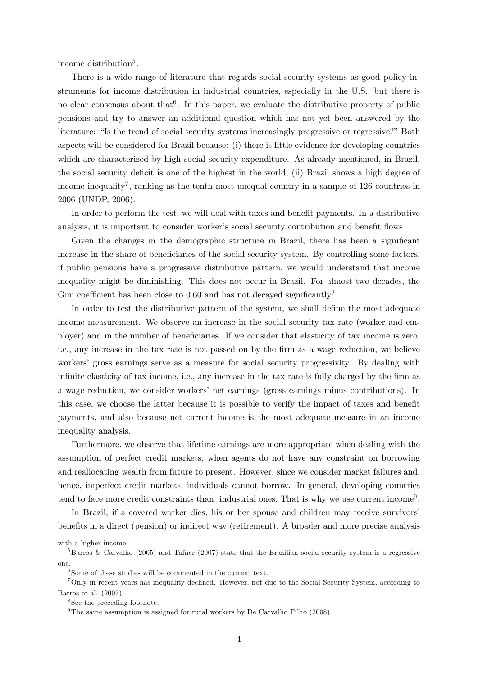income distribution<sup>5</sup>.

There is a wide range of literature that regards social security systems as good policy instruments for income distribution in industrial countries, especially in the U.S., but there is no clear consensus about that<sup>6</sup>. In this paper, we evaluate the distributive property of public pensions and try to answer an additional question which has not yet been answered by the literature: "Is the trend of social security systems increasingly progressive or regressive?" Both aspects will be considered for Brazil because: (i) there is little evidence for developing countries which are characterized by high social security expenditure. As already mentioned, in Brazil, the social security deficit is one of the highest in the world; (ii) Brazil shows a high degree of income inequality<sup>7</sup>, ranking as the tenth most unequal country in a sample of 126 countries in 2006 (UNDP, 2006).

In order to perform the test, we will deal with taxes and benefit payments. In a distributive analysis, it is important to consider worker's social security contribution and benefit flows

Given the changes in the demographic structure in Brazil, there has been a significant increase in the share of beneficiaries of the social security system. By controlling some factors, if public pensions have a progressive distributive pattern, we would understand that income inequality might be diminishing. This does not occur in Brazil. For almost two decades, the Gini coefficient has been close to  $0.60$  and has not decayed significantly<sup>8</sup>.

In order to test the distributive pattern of the system, we shall define the most adequate income measurement. We observe an increase in the social security tax rate (worker and employer) and in the number of beneficiaries. If we consider that elasticity of tax income is zero, i.e., any increase in the tax rate is not passed on by the firm as a wage reduction, we believe workers' gross earnings serve as a measure for social security progressivity. By dealing with infinite elasticity of tax income, i.e., any increase in the tax rate is fully charged by the firm as a wage reduction, we consider workers' net earnings (gross earnings minus contributions). In this case, we choose the latter because it is possible to verify the impact of taxes and benefit payments, and also because net current income is the most adequate measure in an income inequality analysis.

Furthermore, we observe that lifetime earnings are more appropriate when dealing with the assumption of perfect credit markets, when agents do not have any constraint on borrowing and reallocating wealth from future to present. However, since we consider market failures and, hence, imperfect credit markets, individuals cannot borrow. In general, developing countries tend to face more credit constraints than industrial ones. That is why we use current income<sup>9</sup>.

In Brazil, if a covered worker dies, his or her spouse and children may receive survivors' benefits in a direct (pension) or indirect way (retirement). A broader and more precise analysis

with a higher income.

<sup>&</sup>lt;sup>5</sup>Barros & Carvalho (2005) and Tafner (2007) state that the Brazilian social security system is a regressive one.

<sup>6</sup> Some of these studies will be commented in the current text.

<sup>7</sup>Only in recent years has inequality declined. However, not due to the Social Security System, according to Barros et al. (2007).

<sup>8</sup> See the preceding footnote.

 $9$ The same assumption is assigned for rural workers by De Carvalho Filho (2008).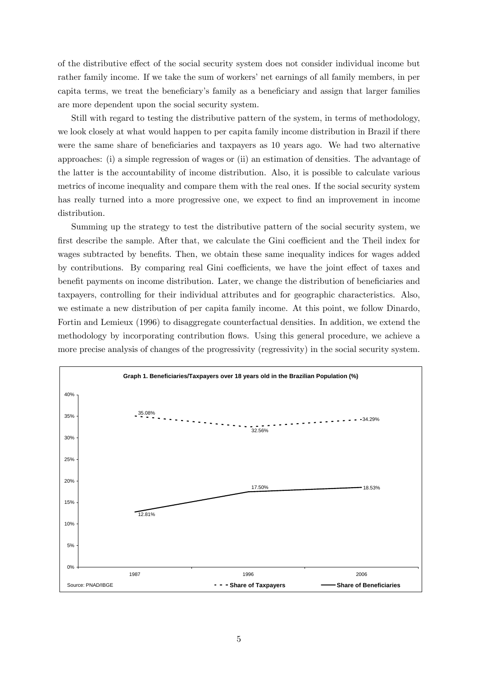of the distributive effect of the social security system does not consider individual income but rather family income. If we take the sum of workers' net earnings of all family members, in per capita terms, we treat the beneficiary's family as a beneficiary and assign that larger families are more dependent upon the social security system.

Still with regard to testing the distributive pattern of the system, in terms of methodology, we look closely at what would happen to per capita family income distribution in Brazil if there were the same share of beneficiaries and taxpayers as 10 years ago. We had two alternative approaches: (i) a simple regression of wages or (ii) an estimation of densities. The advantage of the latter is the accountability of income distribution. Also, it is possible to calculate various metrics of income inequality and compare them with the real ones. If the social security system has really turned into a more progressive one, we expect to find an improvement in income distribution.

Summing up the strategy to test the distributive pattern of the social security system, we first describe the sample. After that, we calculate the Gini coefficient and the Theil index for wages subtracted by benefits. Then, we obtain these same inequality indices for wages added by contributions. By comparing real Gini coefficients, we have the joint effect of taxes and benefit payments on income distribution. Later, we change the distribution of beneficiaries and taxpayers, controlling for their individual attributes and for geographic characteristics. Also, we estimate a new distribution of per capita family income. At this point, we follow Dinardo, Fortin and Lemieux (1996) to disaggregate counterfactual densities. In addition, we extend the methodology by incorporating contribution áows. Using this general procedure, we achieve a more precise analysis of changes of the progressivity (regressivity) in the social security system.

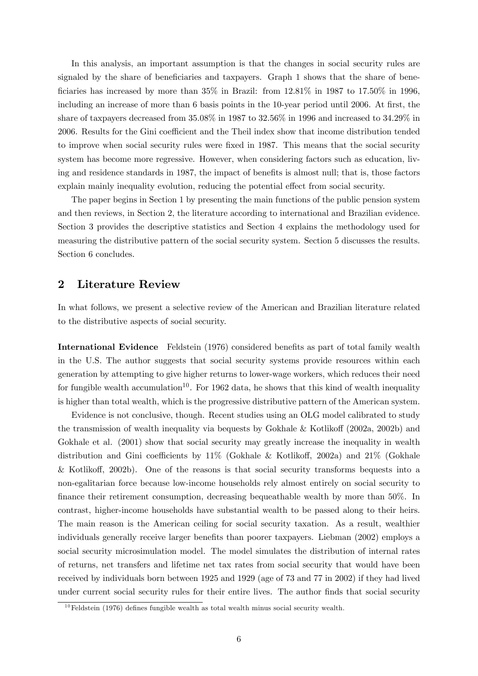In this analysis, an important assumption is that the changes in social security rules are signaled by the share of beneficiaries and taxpayers. Graph 1 shows that the share of beneficiaries has increased by more than  $35\%$  in Brazil: from  $12.81\%$  in  $1987$  to  $17.50\%$  in 1996, including an increase of more than 6 basis points in the 10-year period until 2006. At first, the share of taxpayers decreased from 35.08% in 1987 to 32.56% in 1996 and increased to 34.29% in 2006. Results for the Gini coefficient and the Theil index show that income distribution tended to improve when social security rules were fixed in 1987. This means that the social security system has become more regressive. However, when considering factors such as education, living and residence standards in 1987, the impact of benefits is almost null; that is, those factors explain mainly inequality evolution, reducing the potential effect from social security.

The paper begins in Section 1 by presenting the main functions of the public pension system and then reviews, in Section 2, the literature according to international and Brazilian evidence. Section 3 provides the descriptive statistics and Section 4 explains the methodology used for measuring the distributive pattern of the social security system. Section 5 discusses the results. Section 6 concludes.

### 2 Literature Review

In what follows, we present a selective review of the American and Brazilian literature related to the distributive aspects of social security.

International Evidence Feldstein (1976) considered benefits as part of total family wealth in the U.S. The author suggests that social security systems provide resources within each generation by attempting to give higher returns to lower-wage workers, which reduces their need for fungible wealth accumulation<sup>10</sup>. For 1962 data, he shows that this kind of wealth inequality is higher than total wealth, which is the progressive distributive pattern of the American system.

Evidence is not conclusive, though. Recent studies using an OLG model calibrated to study the transmission of wealth inequality via bequests by Gokhale & Kotlikoff  $(2002a, 2002b)$  and Gokhale et al.  $(2001)$  show that social security may greatly increase the inequality in wealth distribution and Gini coefficients by  $11\%$  (Gokhale & Kotlikoff, 2002a) and  $21\%$  (Gokhale & Kotlikoff, 2002b). One of the reasons is that social security transforms bequests into a non-egalitarian force because low-income households rely almost entirely on social security to finance their retirement consumption, decreasing bequeathable wealth by more than 50%. In contrast, higher-income households have substantial wealth to be passed along to their heirs. The main reason is the American ceiling for social security taxation. As a result, wealthier individuals generally receive larger benefits than poorer taxpayers. Liebman (2002) employs a social security microsimulation model. The model simulates the distribution of internal rates of returns, net transfers and lifetime net tax rates from social security that would have been received by individuals born between 1925 and 1929 (age of 73 and 77 in 2002) if they had lived under current social security rules for their entire lives. The author finds that social security

 $10$ Feldstein (1976) defines fungible wealth as total wealth minus social security wealth.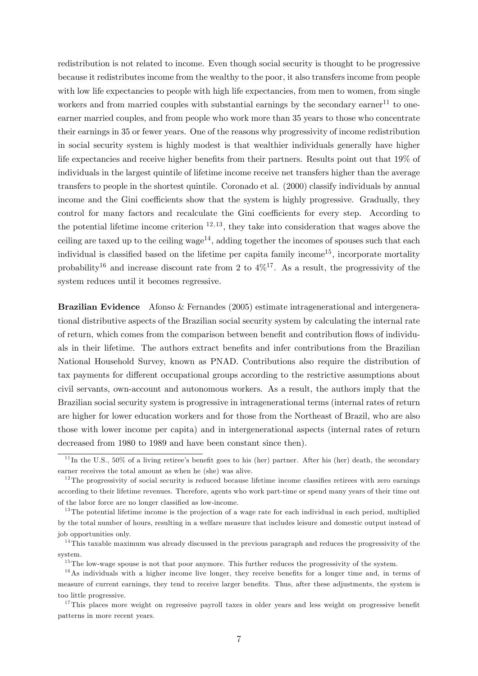redistribution is not related to income. Even though social security is thought to be progressive because it redistributes income from the wealthy to the poor, it also transfers income from people with low life expectancies to people with high life expectancies, from men to women, from single workers and from married couples with substantial earnings by the secondary earner<sup>11</sup> to oneearner married couples, and from people who work more than 35 years to those who concentrate their earnings in 35 or fewer years. One of the reasons why progressivity of income redistribution in social security system is highly modest is that wealthier individuals generally have higher life expectancies and receive higher benefits from their partners. Results point out that 19% of individuals in the largest quintile of lifetime income receive net transfers higher than the average transfers to people in the shortest quintile. Coronado et al. (2000) classify individuals by annual income and the Gini coefficients show that the system is highly progressive. Gradually, they control for many factors and recalculate the Gini coefficients for every step. According to the potential lifetime income criterion  $12,13$ , they take into consideration that wages above the ceiling are taxed up to the ceiling wage<sup>14</sup>, adding together the incomes of spouses such that each individual is classified based on the lifetime per capita family income<sup>15</sup>, incorporate mortality probability<sup>16</sup> and increase discount rate from 2 to  $4\%/17}$ . As a result, the progressivity of the system reduces until it becomes regressive.

Brazilian Evidence Afonso & Fernandes (2005) estimate intragenerational and intergenerational distributive aspects of the Brazilian social security system by calculating the internal rate of return, which comes from the comparison between benefit and contribution flows of individuals in their lifetime. The authors extract benefits and infer contributions from the Brazilian National Household Survey, known as PNAD. Contributions also require the distribution of tax payments for different occupational groups according to the restrictive assumptions about civil servants, own-account and autonomous workers. As a result, the authors imply that the Brazilian social security system is progressive in intragenerational terms (internal rates of return are higher for lower education workers and for those from the Northeast of Brazil, who are also those with lower income per capita) and in intergenerational aspects (internal rates of return decreased from 1980 to 1989 and have been constant since then).

 $11$ In the U.S., 50% of a living retiree's benefit goes to his (her) partner. After his (her) death, the secondary earner receives the total amount as when he (she) was alive.

 $12$ The progressivity of social security is reduced because lifetime income classifies retirees with zero earnings according to their lifetime revenues. Therefore, agents who work part-time or spend many years of their time out of the labor force are no longer classified as low-income.

 $13$ The potential lifetime income is the projection of a wage rate for each individual in each period, multiplied by the total number of hours, resulting in a welfare measure that includes leisure and domestic output instead of job opportunities only.

<sup>&</sup>lt;sup>14</sup>This taxable maximum was already discussed in the previous paragraph and reduces the progressivity of the system.

 $15$ The low-wage spouse is not that poor anymore. This further reduces the progressivity of the system.

 $16$ As individuals with a higher income live longer, they receive benefits for a longer time and, in terms of measure of current earnings, they tend to receive larger benefits. Thus, after these adjustments, the system is too little progressive.

<sup>&</sup>lt;sup>17</sup>This places more weight on regressive payroll taxes in older years and less weight on progressive benefit patterns in more recent years.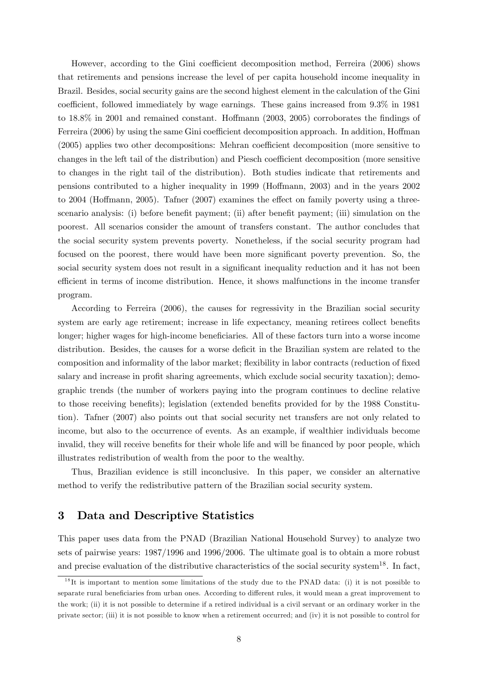However, according to the Gini coefficient decomposition method, Ferreira (2006) shows that retirements and pensions increase the level of per capita household income inequality in Brazil. Besides, social security gains are the second highest element in the calculation of the Gini coefficient, followed immediately by wage earnings. These gains increased from  $9.3\%$  in 1981 to  $18.8\%$  in 2001 and remained constant. Hoffmann (2003, 2005) corroborates the findings of Ferreira (2006) by using the same Gini coefficient decomposition approach. In addition, Hoffman  $(2005)$  applies two other decompositions: Mehran coefficient decomposition (more sensitive to changes in the left tail of the distribution) and Piesch coefficient decomposition (more sensitive to changes in the right tail of the distribution). Both studies indicate that retirements and pensions contributed to a higher inequality in 1999 (Ho§mann, 2003) and in the years 2002 to 2004 (Hoffmann, 2005). Tafner  $(2007)$  examines the effect on family poverty using a threescenario analysis: (i) before benefit payment; (ii) after benefit payment; (iii) simulation on the poorest. All scenarios consider the amount of transfers constant. The author concludes that the social security system prevents poverty. Nonetheless, if the social security program had focused on the poorest, there would have been more significant poverty prevention. So, the social security system does not result in a significant inequality reduction and it has not been efficient in terms of income distribution. Hence, it shows malfunctions in the income transfer program.

According to Ferreira (2006), the causes for regressivity in the Brazilian social security system are early age retirement; increase in life expectancy, meaning retirees collect benefits longer; higher wages for high-income beneficiaries. All of these factors turn into a worse income distribution. Besides, the causes for a worse deficit in the Brazilian system are related to the composition and informality of the labor market; flexibility in labor contracts (reduction of fixed salary and increase in profit sharing agreements, which exclude social security taxation); demographic trends (the number of workers paying into the program continues to decline relative to those receiving benefits); legislation (extended benefits provided for by the 1988 Constitution). Tafner (2007) also points out that social security net transfers are not only related to income, but also to the occurrence of events. As an example, if wealthier individuals become invalid, they will receive benefits for their whole life and will be financed by poor people, which illustrates redistribution of wealth from the poor to the wealthy.

Thus, Brazilian evidence is still inconclusive. In this paper, we consider an alternative method to verify the redistributive pattern of the Brazilian social security system.

# 3 Data and Descriptive Statistics

This paper uses data from the PNAD (Brazilian National Household Survey) to analyze two sets of pairwise years: 1987/1996 and 1996/2006. The ultimate goal is to obtain a more robust and precise evaluation of the distributive characteristics of the social security system<sup>18</sup>. In fact,

 $1<sup>8</sup>$ It is important to mention some limitations of the study due to the PNAD data: (i) it is not possible to separate rural beneficiaries from urban ones. According to different rules, it would mean a great improvement to the work; (ii) it is not possible to determine if a retired individual is a civil servant or an ordinary worker in the private sector; (iii) it is not possible to know when a retirement occurred; and (iv) it is not possible to control for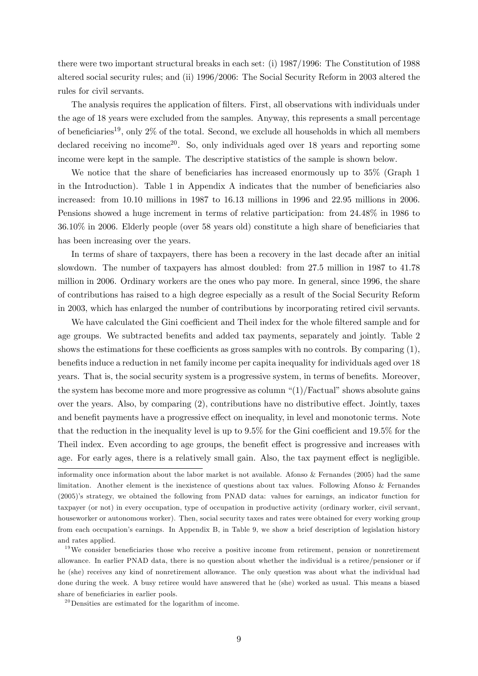there were two important structural breaks in each set: (i) 1987/1996: The Constitution of 1988 altered social security rules; and (ii) 1996/2006: The Social Security Reform in 2003 altered the rules for civil servants.

The analysis requires the application of filters. First, all observations with individuals under the age of 18 years were excluded from the samples. Anyway, this represents a small percentage of beneficiaries<sup>19</sup>, only 2% of the total. Second, we exclude all households in which all members declared receiving no income20. So, only individuals aged over 18 years and reporting some income were kept in the sample. The descriptive statistics of the sample is shown below.

We notice that the share of beneficiaries has increased enormously up to  $35\%$  (Graph 1) in the Introduction). Table 1 in Appendix A indicates that the number of beneficiaries also increased: from 10.10 millions in 1987 to 16.13 millions in 1996 and 22.95 millions in 2006. Pensions showed a huge increment in terms of relative participation: from 24.48% in 1986 to  $36.10\%$  in 2006. Elderly people (over 58 years old) constitute a high share of beneficiaries that has been increasing over the years.

In terms of share of taxpayers, there has been a recovery in the last decade after an initial slowdown. The number of taxpayers has almost doubled: from 27.5 million in 1987 to 41.78 million in 2006. Ordinary workers are the ones who pay more. In general, since 1996, the share of contributions has raised to a high degree especially as a result of the Social Security Reform in 2003, which has enlarged the number of contributions by incorporating retired civil servants.

We have calculated the Gini coefficient and Theil index for the whole filtered sample and for age groups. We subtracted benefits and added tax payments, separately and jointly. Table 2 shows the estimations for these coefficients as gross samples with no controls. By comparing  $(1)$ , benefits induce a reduction in net family income per capita inequality for individuals aged over 18 years. That is, the social security system is a progressive system, in terms of benefits. Moreover, the system has become more and more progressive as column  $\binom{1}{1}$ Factual" shows absolute gains over the years. Also, by comparing  $(2)$ , contributions have no distributive effect. Jointly, taxes and benefit payments have a progressive effect on inequality, in level and monotonic terms. Note that the reduction in the inequality level is up to  $9.5\%$  for the Gini coefficient and  $19.5\%$  for the Theil index. Even according to age groups, the benefit effect is progressive and increases with age. For early ages, there is a relatively small gain. Also, the tax payment effect is negligible.

 $^{20}$ Densities are estimated for the logarithm of income.

informality once information about the labor market is not available. Afonso & Fernandes (2005) had the same limitation. Another element is the inexistence of questions about tax values. Following Afonso & Fernandes (2005)ís strategy, we obtained the following from PNAD data: values for earnings, an indicator function for taxpayer (or not) in every occupation, type of occupation in productive activity (ordinary worker, civil servant, houseworker or autonomous worker). Then, social security taxes and rates were obtained for every working group from each occupationís earnings. In Appendix B, in Table 9, we show a brief description of legislation history and rates applied.

 $19$ We consider beneficiaries those who receive a positive income from retirement, pension or nonretirement allowance. In earlier PNAD data, there is no question about whether the individual is a retiree/pensioner or if he (she) receives any kind of nonretirement allowance. The only question was about what the individual had done during the week. A busy retiree would have answered that he (she) worked as usual. This means a biased share of beneficiaries in earlier pools.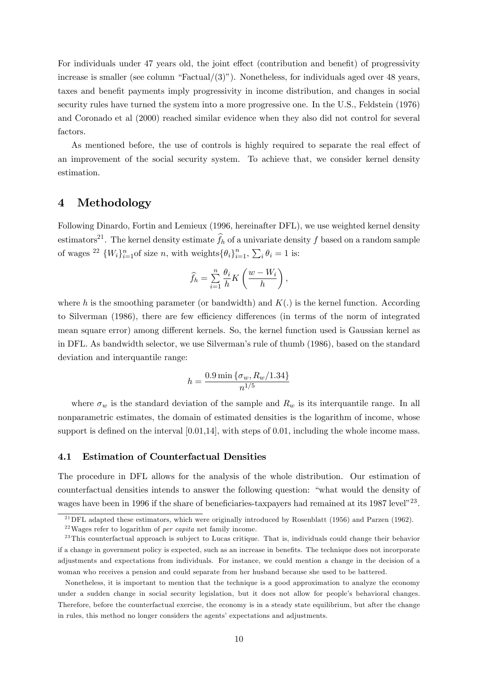For individuals under 47 years old, the joint effect (contribution and benefit) of progressivity increase is smaller (see column "Factual/ $(3)$ "). Nonetheless, for individuals aged over 48 years, taxes and benefit payments imply progressivity in income distribution, and changes in social security rules have turned the system into a more progressive one. In the U.S., Feldstein (1976) and Coronado et al (2000) reached similar evidence when they also did not control for several factors.

As mentioned before, the use of controls is highly required to separate the real effect of an improvement of the social security system. To achieve that, we consider kernel density estimation.

# 4 Methodology

Following Dinardo, Fortin and Lemieux (1996, hereinafter DFL), we use weighted kernel density estimators<sup>21</sup>. The kernel density estimate  $\hat{f}_h$  of a univariate density f based on a random sample of wages <sup>22</sup>  $\{W_i\}_{i=1}^n$  of size *n*, with weights  $\{\theta_i\}_{i=1}^n$ ,  $\sum_i \theta_i = 1$  is:

$$
\widehat{f}_h = \sum_{i=1}^n \frac{\theta_i}{h} K\left(\frac{w - W_i}{h}\right),\,
$$

where h is the smoothing parameter (or bandwidth) and  $K(.)$  is the kernel function. According to Silverman (1986), there are few efficiency differences (in terms of the norm of integrated mean square error) among different kernels. So, the kernel function used is Gaussian kernel as in DFL. As bandwidth selector, we use Silverman's rule of thumb (1986), based on the standard deviation and interquantile range:

$$
h = \frac{0.9 \min\{\sigma_w, R_w/1.34\}}{n^{1/5}}
$$

where  $\sigma_w$  is the standard deviation of the sample and  $R_w$  is its interquantile range. In all nonparametric estimates, the domain of estimated densities is the logarithm of income, whose support is defined on the interval  $[0.01,14]$ , with steps of 0.01, including the whole income mass.

#### 4.1 Estimation of Counterfactual Densities

The procedure in DFL allows for the analysis of the whole distribution. Our estimation of counterfactual densities intends to answer the following question: "what would the density of wages have been in 1996 if the share of beneficiaries-taxpayers had remained at its 1987 level<sup> $23$ </sup>.

<sup>&</sup>lt;sup>21</sup>DFL adapted these estimators, which were originally introduced by Rosenblatt (1956) and Parzen (1962).

 $^{22}$ Wages refer to logarithm of *per capita* net family income.

<sup>&</sup>lt;sup>23</sup>This counterfactual approach is subject to Lucas critique. That is, individuals could change their behavior if a change in government policy is expected, such as an increase in benefits. The technique does not incorporate adjustments and expectations from individuals. For instance, we could mention a change in the decision of a woman who receives a pension and could separate from her husband because she used to be battered.

Nonetheless, it is important to mention that the technique is a good approximation to analyze the economy under a sudden change in social security legislation, but it does not allow for peopleís behavioral changes. Therefore, before the counterfactual exercise, the economy is in a steady state equilibrium, but after the change in rules, this method no longer considers the agents' expectations and adjustments.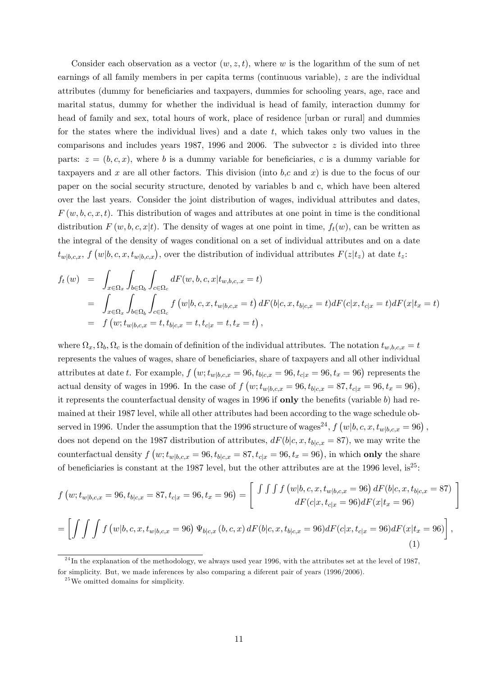Consider each observation as a vector  $(w, z, t)$ , where w is the logarithm of the sum of net earnings of all family members in per capita terms (continuous variable),  $z$  are the individual attributes (dummy for beneficiaries and taxpayers, dummies for schooling years, age, race and marital status, dummy for whether the individual is head of family, interaction dummy for head of family and sex, total hours of work, place of residence [urban or rural] and dummies for the states where the individual lives) and a date  $t$ , which takes only two values in the comparisons and includes years 1987, 1996 and 2006. The subvector  $z$  is divided into three parts:  $z = (b, c, x)$ , where b is a dummy variable for beneficiaries, c is a dummy variable for taxpayers and x are all other factors. This division (into  $b,c$  and x) is due to the focus of our paper on the social security structure, denoted by variables b and c, which have been altered over the last years. Consider the joint distribution of wages, individual attributes and dates,  $F(w, b, c, x, t)$ . This distribution of wages and attributes at one point in time is the conditional distribution  $F(w, b, c, x|t)$ . The density of wages at one point in time,  $f_t(w)$ , can be written as the integral of the density of wages conditional on a set of individual attributes and on a date  $t_{w|b,c,x}$ ,  $f(w|b,c,x,t_{w|b,c,x})$ , over the distribution of individual attributes  $F(z|t_z)$  at date  $t_z$ :

$$
f_t(w) = \int_{x \in \Omega_x} \int_{b \in \Omega_b} \int_{c \in \Omega_c} dF(w, b, c, x | t_{w, b, c, x} = t)
$$
  
= 
$$
\int_{x \in \Omega_x} \int_{b \in \Omega_b} \int_{c \in \Omega_c} f(w | b, c, x, t_{w | b, c, x} = t) dF(b | c, x, t_{b | c, x} = t) dF(c | x, t_{c | x} = t) dF(x | t_x = t)
$$
  
= 
$$
f(w; t_{w | b, c, x} = t, t_{b | c, x} = t, t_{c | x} = t, t_x = t),
$$

where  $\Omega_x, \Omega_b, \Omega_c$  is the domain of definition of the individual attributes. The notation  $t_{w,b,c,x} = t$ represents the values of wages, share of beneficiaries, share of taxpayers and all other individual attributes at date t. For example,  $f(w; t_{w|b,c,x} = 96, t_{b|c,x} = 96, t_{c|x} = 96, t_x = 96)$  represents the actual density of wages in 1996. In the case of  $f(w; t_{w|b,c,x} = 96, t_{b|c,x} = 87, t_{c|x} = 96, t_x = 96)$ , it represents the counterfactual density of wages in 1996 if only the benefits (variable  $b$ ) had remained at their 1987 level, while all other attributes had been according to the wage schedule observed in 1996. Under the assumption that the 1996 structure of wages<sup>24</sup>,  $f(w|b, c, x, t_{w|b,c,x} = 96)$ , does not depend on the 1987 distribution of attributes,  $dF(b|c, x, t_{b|c,x} = 87)$ , we may write the counterfactual density  $f(w; t_{w|b,c,x} = 96, t_{b|c,x} = 87, t_{c|x} = 96, t_x = 96)$ , in which **only** the share of beneficiaries is constant at the 1987 level, but the other attributes are at the 1996 level, is<sup>25</sup>:

$$
f(w; t_{w|b,c,x} = 96, t_{b|c,x} = 87, t_{c|x} = 96, t_x = 96) = \left[ \begin{array}{c} \int \int \int f(w|b,c,x, t_{w|b,c,x} = 96) dF(b|c,x, t_{b|c,x} = 87) \\ dF(c|x, t_{c|x} = 96) dF(x|t_x = 96) \end{array} \right]
$$

$$
= \left[ \int \int \int f(w|b, c, x, t_{w|b, c, x} = 96) \Psi_{b|c, x}(b, c, x) dF(b|c, x, t_{b|c, x} = 96) dF(c|x, t_{c|x} = 96) dF(x|t_x = 96) \right],
$$
\n(1)

 $^{24}$ In the explanation of the methodology, we always used year 1996, with the attributes set at the level of 1987, for simplicity. But, we made inferences by also comparing a diferent pair of years (1996/2006).

 $2<sup>5</sup>$  We omitted domains for simplicity.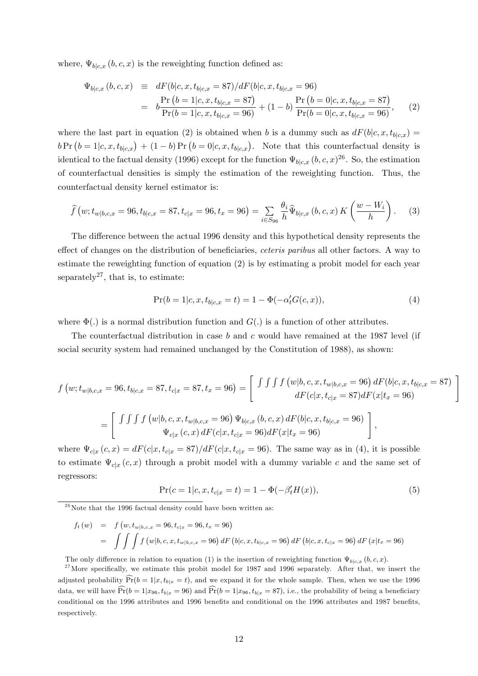where,  $\Psi_{b|c,x} (b, c, x)$  is the reweighting function defined as:

$$
\Psi_{b|c,x}(b,c,x) \equiv dF(b|c,x,t_{b|c,x} = 87)/dF(b|c,x,t_{b|c,x} = 96)
$$
\n
$$
= b\frac{\Pr(b=1|c,x,t_{b|c,x} = 87)}{\Pr(b=1|c,x,t_{b|c,x} = 96)} + (1-b)\frac{\Pr(b=0|c,x,t_{b|c,x} = 87)}{\Pr(b=0|c,x,t_{b|c,x} = 96)},
$$
\n(2)

where the last part in equation (2) is obtained when b is a dummy such as  $dF(b|c, x, t_{b|c,x}) =$  $bPr(b=1|c,x,t_{b|c,x}) + (1-b)Pr(b=0|c,x,t_{b|c,x}).$  Note that this counterfactual density is identical to the factual density (1996) except for the function  $\Psi_{b|c,x}$   $(b,c,x)^{26}$ . So, the estimation of counterfactual densities is simply the estimation of the reweighting function. Thus, the counterfactual density kernel estimator is:

$$
\hat{f}(w; t_{w|b,c,x} = 96, t_{b|c,x} = 87, t_{c|x} = 96, t_x = 96) = \sum_{i \in S_{96}} \frac{\theta_i}{h} \hat{\Psi}_{b|c,x}(b,c,x) K\left(\frac{w - W_i}{h}\right). \tag{3}
$$

The difference between the actual 1996 density and this hypothetical density represents the effect of changes on the distribution of beneficiaries, *ceteris paribus* all other factors. A way to estimate the reweighting function of equation (2) is by estimating a probit model for each year separately<sup>27</sup>, that is, to estimate:

$$
Pr(b = 1|c, x, t_{b|c,x} = t) = 1 - \Phi(-\alpha'_t G(c,x)),
$$
\n(4)

where  $\Phi(.)$  is a normal distribution function and  $G(.)$  is a function of other attributes.

The counterfactual distribution in case b and c would have remained at the 1987 level (if social security system had remained unchanged by the Constitution of 1988), as shown:

$$
f(w; t_{w|b,c,x} = 96, t_{b|c,x} = 87, t_{c|x} = 87, t_x = 96) = \begin{bmatrix} \int \int \int f(w|b,c,x, t_{w|b,c,x} = 96) dF(b|c,x, t_{b|c,x} = 87) \\ dF(c|x, t_{c|x} = 87) dF(x|t_x = 96) \end{bmatrix}
$$

$$
= \begin{bmatrix} \int \int \int f(w|b,c,x, t_{w|b,c,x} = 96) \Psi_{b|c,x} (b,c,x) dF(b|c,x, t_{b|c,x} = 96) \\ \Psi_{c|x} (c,x) dF(c|x, t_{c|x} = 96) dF(x|t_x = 96) \end{bmatrix},
$$

where  $\Psi_{c|x}(c, x) = dF(c|x, t_{c|x} = 87)/dF(c|x, t_{c|x} = 96)$ . The same way as in (4), it is possible to estimate  $\Psi_{c|x}(c, x)$  through a probit model with a dummy variable c and the same set of regressors:

$$
Pr(c = 1|c, x, t_{c|x} = t) = 1 - \Phi(-\beta'_t H(x)),
$$
\n(5)

 $26$ Note that the 1996 factual density could have been written as:

$$
f_t(w) = f(w, t_{w|b,c,x} = 96, t_{c|x} = 96, t_x = 96)
$$
  
= 
$$
\int \int \int f(w|b, c, x, t_{w|b,c,x} = 96) dF(b|c, x, t_{b|c,x} = 96) dF(b|c, x, t_{c|x} = 96) dF(x|t_x = 96)
$$

The only difference in relation to equation (1) is the insertion of reweighting function  $\Psi_{b|c,x}$   $(b, c, x)$ .

 $27$  More specifically, we estimate this probit model for 1987 and 1996 separately. After that, we insert the adjusted probability  $\widehat{Pr}(b = 1|x, t_{b|x} = t)$ , and we expand it for the whole sample. Then, when we use the 1996 data, we will have  $\Pr(b = 1|x_{96}, t_{b|x} = 96)$  and  $\Pr(b = 1|x_{96}, t_{b|x} = 87)$ , i.e., the probability of being a beneficiary conditional on the 1996 attributes and 1996 benefits and conditional on the 1996 attributes and 1987 benefits, respectively.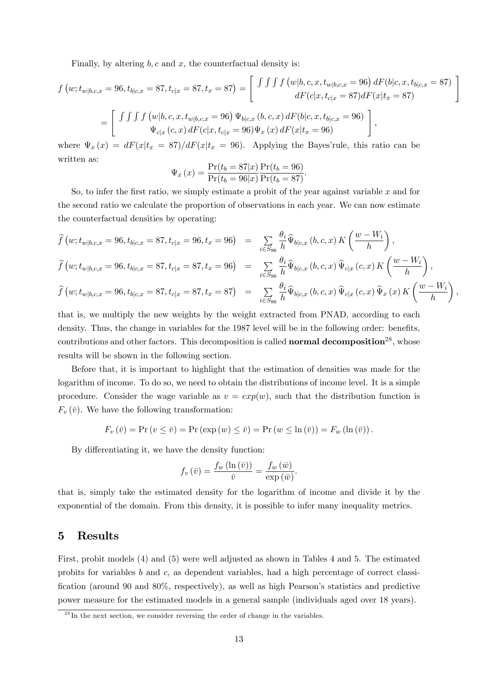Finally, by altering  $b, c$  and  $x$ , the counterfactual density is:

$$
f(w; t_{w|b,c,x} = 96, t_{b|c,x} = 87, t_{c|x} = 87, t_x = 87) = \begin{bmatrix} \int \int \int f(w|b,c,x, t_{w|b,c,x} = 96) dF(b|c,x, t_{b|c,x} = 87) \\ dF(c|x, t_{c|x} = 87) dF(x|t_x = 87) \end{bmatrix}
$$

$$
= \begin{bmatrix} \int \int \int f(w|b,c,x, t_{w|b,c,x} = 96) \Psi_{b|c,x} (b,c,x) dF(b|c,x, t_{b|c,x} = 96) \\ \Psi_{c|x} (c,x) dF(c|x, t_{c|x} = 96) \Psi_x (x) dF(x|t_x = 96) \end{bmatrix},
$$

where  $\Psi_x(x) = dF(x|t_x = 87)/dF(x|t_x = 96)$ . Applying the Bayes' rule, this ratio can be written as:

$$
\Psi_x(x) = \frac{\Pr(t_b = 87|x)}{\Pr(t_b = 96|x)} \frac{\Pr(t_b = 96)}{\Pr(t_b = 87)}.
$$

So, to infer the first ratio, we simply estimate a probit of the year against variable  $x$  and for the second ratio we calculate the proportion of observations in each year. We can now estimate the counterfactual densities by operating:

$$
\hat{f}(w; t_{w|b,c,x} = 96, t_{b|c,x} = 87, t_{c|x} = 96, t_x = 96) = \sum_{i \in S_{96}} \frac{\theta_i}{h} \hat{\Psi}_{b|c,x} (b, c, x) K\left(\frac{w - W_i}{h}\right),
$$
\n
$$
\hat{f}(w; t_{w|b,c,x} = 96, t_{b|c,x} = 87, t_{c|x} = 87, t_x = 96) = \sum_{i \in S_{96}} \frac{\theta_i}{h} \hat{\Psi}_{b|c,x} (b, c, x) \hat{\Psi}_{c|x} (c, x) K\left(\frac{w - W_i}{h}\right),
$$
\n
$$
\hat{f}(w; t_{w|b,c,x} = 96, t_{b|c,x} = 87, t_{c|x} = 87, t_x = 87) = \sum_{i \in S_{96}} \frac{\theta_i}{h} \hat{\Psi}_{b|c,x} (b, c, x) \hat{\Psi}_{c|x} (c, x) \hat{\Psi}_x (x) K\left(\frac{w - W_i}{h}\right),
$$

that is, we multiply the new weights by the weight extracted from PNAD, according to each density. Thus, the change in variables for the 1987 level will be in the following order: benefits, contributions and other factors. This decomposition is called **normal decomposition**<sup>28</sup>, whose results will be shown in the following section.

Before that, it is important to highlight that the estimation of densities was made for the logarithm of income. To do so, we need to obtain the distributions of income level. It is a simple procedure. Consider the wage variable as  $v = exp(w)$ , such that the distribution function is  $F_v(\bar{v})$ . We have the following transformation:

$$
F_v(\bar{v}) = \Pr(v \le \bar{v}) = \Pr(\exp(w) \le \bar{v}) = \Pr(w \le \ln(\bar{v})) = F_w(\ln(\bar{v}))
$$

By differentiating it, we have the density function:

$$
f_v(\bar{v}) = \frac{f_w(\ln(\bar{v}))}{\bar{v}} = \frac{f_w(\bar{w})}{\exp(\bar{w})}.
$$

that is, simply take the estimated density for the logarithm of income and divide it by the exponential of the domain. From this density, it is possible to infer many inequality metrics.

### 5 Results

First, probit models (4) and (5) were well adjusted as shown in Tables 4 and 5. The estimated probits for variables  $b$  and  $c$ , as dependent variables, had a high percentage of correct classification (around 90 and 80%, respectively), as well as high Pearson's statistics and predictive power measure for the estimated models in a general sample (individuals aged over 18 years).

 $^{28}$ In the next section, we consider reversing the order of change in the variables.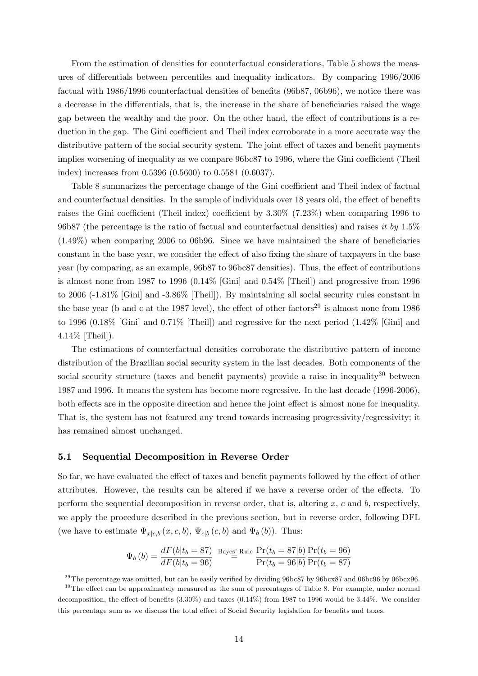From the estimation of densities for counterfactual considerations, Table 5 shows the measures of differentials between percentiles and inequality indicators. By comparing 1996/2006 factual with 1986/1996 counterfactual densities of benefits (96b87, 06b96), we notice there was a decrease in the differentials, that is, the increase in the share of beneficiaries raised the wage gap between the wealthy and the poor. On the other hand, the effect of contributions is a reduction in the gap. The Gini coefficient and Theil index corroborate in a more accurate way the distributive pattern of the social security system. The joint effect of taxes and benefit payments implies worsening of inequality as we compare 96bc87 to 1996, where the Gini coefficient (Theil index) increases from 0.5396 (0.5600) to 0.5581 (0.6037).

Table 8 summarizes the percentage change of the Gini coefficient and Theil index of factual and counterfactual densities. In the sample of individuals over 18 years old, the effect of benefits raises the Gini coefficient (Theil index) coefficient by  $3.30\%$  (7.23%) when comparing 1996 to 96b87 (the percentage is the ratio of factual and counterfactual densities) and raises it by  $1.5\%$  $(1.49\%)$  when comparing 2006 to 06b96. Since we have maintained the share of beneficiaries constant in the base year, we consider the effect of also fixing the share of taxpayers in the base year (by comparing, as an example, 96b87 to 96bc87 densities). Thus, the effect of contributions is almost none from 1987 to 1996 (0.14% [Gini] and 0.54% [Theil]) and progressive from 1996 to 2006 (-1.81% [Gini] and -3.86% [Theil]). By maintaining all social security rules constant in the base year (b and c at the 1987 level), the effect of other factors<sup>29</sup> is almost none from 1986 to 1996 (0.18% [Gini] and 0.71% [Theil]) and regressive for the next period (1.42% [Gini] and 4.14% [Theil]).

The estimations of counterfactual densities corroborate the distributive pattern of income distribution of the Brazilian social security system in the last decades. Both components of the social security structure (taxes and benefit payments) provide a raise in inequality<sup>30</sup> between 1987 and 1996. It means the system has become more regressive. In the last decade (1996-2006), both effects are in the opposite direction and hence the joint effect is almost none for inequality. That is, the system has not featured any trend towards increasing progressivity/regressivity; it has remained almost unchanged.

#### 5.1 Sequential Decomposition in Reverse Order

So far, we have evaluated the effect of taxes and benefit payments followed by the effect of other attributes. However, the results can be altered if we have a reverse order of the effects. To perform the sequential decomposition in reverse order, that is, altering  $x$ ,  $c$  and  $b$ , respectively, we apply the procedure described in the previous section, but in reverse order, following DFL (we have to estimate  $\Psi_{x|c,b}(x, c, b)$ ,  $\Psi_{c|b}(c, b)$  and  $\Psi_b(b)$ ). Thus:

$$
\Psi_b (b) = \frac{dF(b|t_b = 87)}{dF(b|t_b = 96)} \stackrel{\text{Bayes'}}{=} \frac{\text{Rule } \frac{\Pr(t_b = 87|b)}{\Pr(t_b = 96|b)} \frac{\Pr(t_b = 96)}{\Pr(t_b = 87)}
$$

<sup>&</sup>lt;sup>29</sup>The percentage was omitted, but can be easily verified by dividing 96bc87 by 96bcx87 and 06bc96 by 06bcx96.

 $30$ The effect can be approximately measured as the sum of percentages of Table 8. For example, under normal decomposition, the effect of benefits  $(3.30\%)$  and taxes  $(0.14\%)$  from 1987 to 1996 would be 3.44%. We consider this percentage sum as we discuss the total effect of Social Security legislation for benefits and taxes.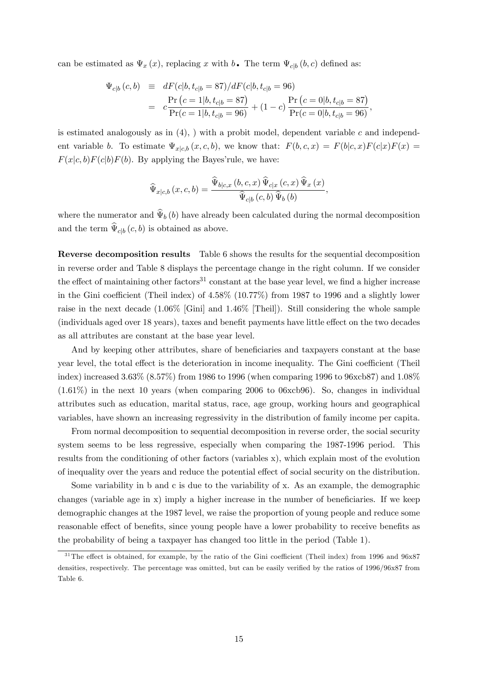can be estimated as  $\Psi_x(x)$ , replacing x with  $b$ . The term  $\Psi_{c|b}(b, c)$  defined as:

$$
\Psi_{c|b}(c,b) \equiv dF(c|b, t_{c|b} = 87)/dF(c|b, t_{c|b} = 96)
$$
\n
$$
= c \frac{\Pr(c=1|b, t_{c|b} = 87)}{\Pr(c=1|b, t_{c|b} = 96)} + (1-c) \frac{\Pr(c=0|b, t_{c|b} = 87)}{\Pr(c=0|b, t_{c|b} = 96)},
$$

is estimated analogously as in  $(4)$ , ) with a probit model, dependent variable c and independent variable b. To estimate  $\Psi_{x|c,b}(x, c, b)$ , we know that:  $F(b, c, x) = F(b|c, x)F(c|x)F(x) =$  $F(x|c, b)F(c|b)F(b)$ . By applying the Bayes' rule, we have:

$$
\widehat{\Psi}_{x|c,b}\left(x,c,b\right) = \frac{\widehat{\Psi}_{b|c,x}\left(b,c,x\right)\widehat{\Psi}_{c|x}\left(c,x\right)\widehat{\Psi}_{x}\left(x\right)}{\widehat{\Psi}_{c|b}\left(c,b\right)\widehat{\Psi}_{b}\left(b\right)},
$$

where the numerator and  $\hat{\Psi}_b(b)$  have already been calculated during the normal decomposition and the term  $\Psi_{c|b}(c, b)$  is obtained as above.

Reverse decomposition results Table 6 shows the results for the sequential decomposition in reverse order and Table 8 displays the percentage change in the right column. If we consider the effect of maintaining other factors<sup>31</sup> constant at the base year level, we find a higher increase in the Gini coefficient (Theil index) of  $4.58\%$  (10.77%) from 1987 to 1996 and a slightly lower raise in the next decade (1.06% [Gini] and 1.46% [Theil]). Still considering the whole sample (individuals aged over 18 years), taxes and benefit payments have little effect on the two decades as all attributes are constant at the base year level.

And by keeping other attributes, share of beneficiaries and taxpayers constant at the base year level, the total effect is the deterioration in income inequality. The Gini coefficient (Theil index) increased 3.63% (8.57%) from 1986 to 1996 (when comparing 1996 to 96xcb87) and 1.08% (1.61%) in the next 10 years (when comparing 2006 to 06xcb96). So, changes in individual attributes such as education, marital status, race, age group, working hours and geographical variables, have shown an increasing regressivity in the distribution of family income per capita.

From normal decomposition to sequential decomposition in reverse order, the social security system seems to be less regressive, especially when comparing the 1987-1996 period. This results from the conditioning of other factors (variables x), which explain most of the evolution of inequality over the years and reduce the potential effect of social security on the distribution.

Some variability in b and c is due to the variability of x. As an example, the demographic changes (variable age in  $x$ ) imply a higher increase in the number of beneficiaries. If we keep demographic changes at the 1987 level, we raise the proportion of young people and reduce some reasonable effect of benefits, since young people have a lower probability to receive benefits as the probability of being a taxpayer has changed too little in the period (Table 1).

 $31$ The effect is obtained, for example, by the ratio of the Gini coefficient (Theil index) from 1996 and 96x87 densities, respectively. The percentage was omitted, but can be easily verified by the ratios of 1996/96x87 from Table 6.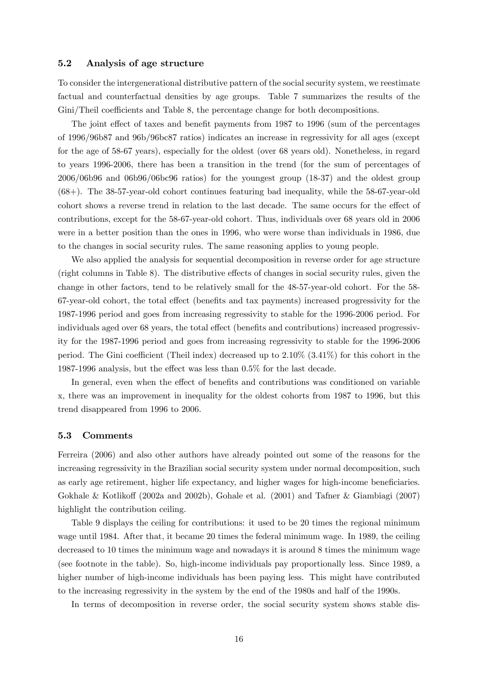#### 5.2 Analysis of age structure

To consider the intergenerational distributive pattern of the social security system, we reestimate factual and counterfactual densities by age groups. Table 7 summarizes the results of the Gini/Theil coefficients and Table 8, the percentage change for both decompositions.

The joint effect of taxes and benefit payments from 1987 to 1996 (sum of the percentages of 1996/96b87 and 96b/96bc87 ratios) indicates an increase in regressivity for all ages (except for the age of 58-67 years), especially for the oldest (over 68 years old). Nonetheless, in regard to years 1996-2006, there has been a transition in the trend (for the sum of percentages of 2006/06b96 and 06b96/06bc96 ratios) for the youngest group (18-37) and the oldest group (68+). The 38-57-year-old cohort continues featuring bad inequality, while the 58-67-year-old cohort shows a reverse trend in relation to the last decade. The same occurs for the effect of contributions, except for the 58-67-year-old cohort. Thus, individuals over 68 years old in 2006 were in a better position than the ones in 1996, who were worse than individuals in 1986, due to the changes in social security rules. The same reasoning applies to young people.

We also applied the analysis for sequential decomposition in reverse order for age structure  $(right columns in Table 8)$ . The distributive effects of changes in social security rules, given the change in other factors, tend to be relatively small for the 48-57-year-old cohort. For the 58- 67-year-old cohort, the total effect (benefits and tax payments) increased progressivity for the 1987-1996 period and goes from increasing regressivity to stable for the 1996-2006 period. For individuals aged over 68 years, the total effect (benefits and contributions) increased progressivity for the 1987-1996 period and goes from increasing regressivity to stable for the 1996-2006 period. The Gini coefficient (Theil index) decreased up to  $2.10\%$  ( $3.41\%$ ) for this cohort in the 1987-1996 analysis, but the effect was less than  $0.5\%$  for the last decade.

In general, even when the effect of benefits and contributions was conditioned on variable x, there was an improvement in inequality for the oldest cohorts from 1987 to 1996, but this trend disappeared from 1996 to 2006.

#### 5.3 Comments

Ferreira (2006) and also other authors have already pointed out some of the reasons for the increasing regressivity in the Brazilian social security system under normal decomposition, such as early age retirement, higher life expectancy, and higher wages for high-income beneficiaries. Gokhale & Kotlikoff (2002a and 2002b), Gohale et al. (2001) and Tafner & Giambiagi (2007) highlight the contribution ceiling.

Table 9 displays the ceiling for contributions: it used to be 20 times the regional minimum wage until 1984. After that, it became 20 times the federal minimum wage. In 1989, the ceiling decreased to 10 times the minimum wage and nowadays it is around 8 times the minimum wage (see footnote in the table). So, high-income individuals pay proportionally less. Since 1989, a higher number of high-income individuals has been paying less. This might have contributed to the increasing regressivity in the system by the end of the 1980s and half of the 1990s.

In terms of decomposition in reverse order, the social security system shows stable dis-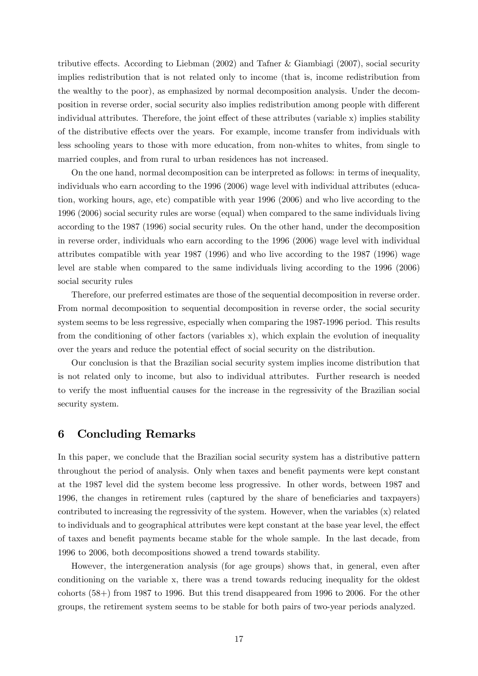tributive effects. According to Liebman  $(2002)$  and Tafner & Giambiagi  $(2007)$ , social security implies redistribution that is not related only to income (that is, income redistribution from the wealthy to the poor), as emphasized by normal decomposition analysis. Under the decomposition in reverse order, social security also implies redistribution among people with different individual attributes. Therefore, the joint effect of these attributes (variable  $x$ ) implies stability of the distributive effects over the years. For example, income transfer from individuals with less schooling years to those with more education, from non-whites to whites, from single to married couples, and from rural to urban residences has not increased.

On the one hand, normal decomposition can be interpreted as follows: in terms of inequality, individuals who earn according to the 1996 (2006) wage level with individual attributes (education, working hours, age, etc) compatible with year 1996 (2006) and who live according to the 1996 (2006) social security rules are worse (equal) when compared to the same individuals living according to the 1987 (1996) social security rules. On the other hand, under the decomposition in reverse order, individuals who earn according to the 1996 (2006) wage level with individual attributes compatible with year 1987 (1996) and who live according to the 1987 (1996) wage level are stable when compared to the same individuals living according to the 1996 (2006) social security rules

Therefore, our preferred estimates are those of the sequential decomposition in reverse order. From normal decomposition to sequential decomposition in reverse order, the social security system seems to be less regressive, especially when comparing the 1987-1996 period. This results from the conditioning of other factors (variables x), which explain the evolution of inequality over the years and reduce the potential effect of social security on the distribution.

Our conclusion is that the Brazilian social security system implies income distribution that is not related only to income, but also to individual attributes. Further research is needed to verify the most influential causes for the increase in the regressivity of the Brazilian social security system.

# 6 Concluding Remarks

In this paper, we conclude that the Brazilian social security system has a distributive pattern throughout the period of analysis. Only when taxes and benefit payments were kept constant at the 1987 level did the system become less progressive. In other words, between 1987 and 1996, the changes in retirement rules (captured by the share of beneficiaries and taxpayers) contributed to increasing the regressivity of the system. However, when the variables (x) related to individuals and to geographical attributes were kept constant at the base year level, the effect of taxes and benefit payments became stable for the whole sample. In the last decade, from 1996 to 2006, both decompositions showed a trend towards stability.

However, the intergeneration analysis (for age groups) shows that, in general, even after conditioning on the variable x, there was a trend towards reducing inequality for the oldest cohorts (58+) from 1987 to 1996. But this trend disappeared from 1996 to 2006. For the other groups, the retirement system seems to be stable for both pairs of two-year periods analyzed.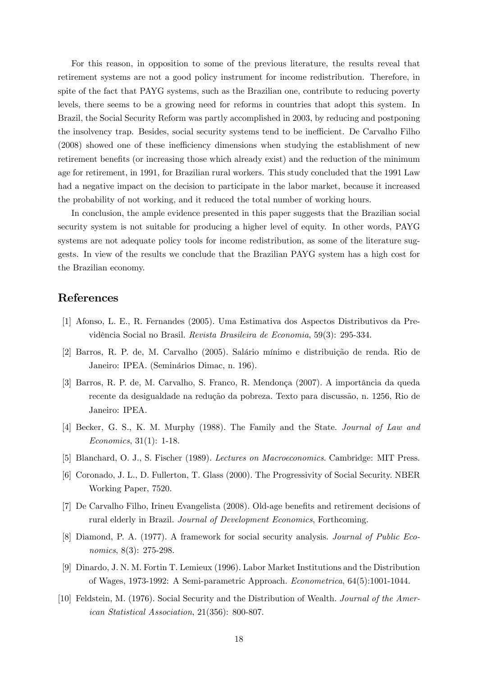For this reason, in opposition to some of the previous literature, the results reveal that retirement systems are not a good policy instrument for income redistribution. Therefore, in spite of the fact that PAYG systems, such as the Brazilian one, contribute to reducing poverty levels, there seems to be a growing need for reforms in countries that adopt this system. In Brazil, the Social Security Reform was partly accomplished in 2003, by reducing and postponing the insolvency trap. Besides, social security systems tend to be inefficient. De Carvalho Filho  $(2008)$  showed one of these inefficiency dimensions when studying the establishment of new retirement benefits (or increasing those which already exist) and the reduction of the minimum age for retirement, in 1991, for Brazilian rural workers. This study concluded that the 1991 Law had a negative impact on the decision to participate in the labor market, because it increased the probability of not working, and it reduced the total number of working hours.

In conclusion, the ample evidence presented in this paper suggests that the Brazilian social security system is not suitable for producing a higher level of equity. In other words, PAYG systems are not adequate policy tools for income redistribution, as some of the literature suggests. In view of the results we conclude that the Brazilian PAYG system has a high cost for the Brazilian economy.

# References

- [1] Afonso, L. E., R. Fernandes (2005). Uma Estimativa dos Aspectos Distributivos da Previdência Social no Brasil. Revista Brasileira de Economia, 59(3): 295-334.
- [2] Barros, R. P. de, M. Carvalho (2005). Salário mínimo e distribuição de renda. Rio de Janeiro: IPEA. (Seminários Dimac, n. 196).
- [3] Barros, R. P. de, M. Carvalho, S. Franco, R. Mendonça (2007). A importância da queda recente da desigualdade na redução da pobreza. Texto para discussão, n. 1256, Rio de Janeiro: IPEA.
- [4] Becker, G. S., K. M. Murphy (1988). The Family and the State. Journal of Law and Economics, 31(1): 1-18.
- [5] Blanchard, O. J., S. Fischer (1989). Lectures on Macroeconomics. Cambridge: MIT Press.
- [6] Coronado, J. L., D. Fullerton, T. Glass (2000). The Progressivity of Social Security. NBER Working Paper, 7520.
- [7] De Carvalho Filho, Irineu Evangelista (2008). Old-age benefits and retirement decisions of rural elderly in Brazil. Journal of Development Economics, Forthcoming.
- [8] Diamond, P. A. (1977). A framework for social security analysis. Journal of Public Economics, 8(3): 275-298.
- [9] Dinardo, J. N. M. Fortin T. Lemieux (1996). Labor Market Institutions and the Distribution of Wages, 1973-1992: A Semi-parametric Approach. Econometrica, 64(5):1001-1044.
- [10] Feldstein, M. (1976). Social Security and the Distribution of Wealth. Journal of the American Statistical Association, 21(356): 800-807.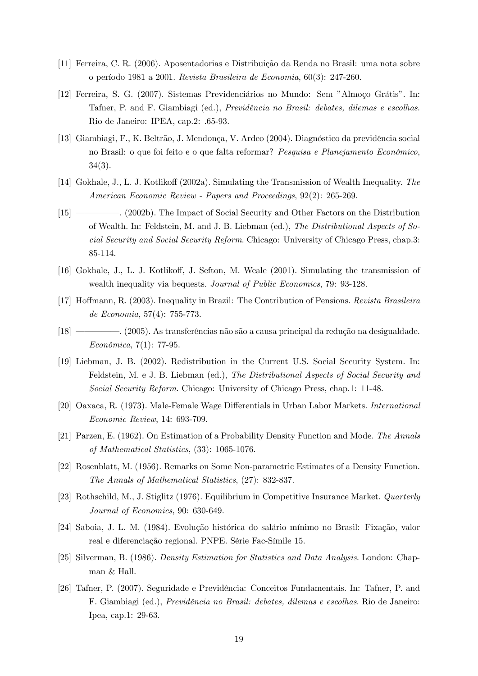- [11] Ferreira, C. R. (2006). Aposentadorias e Distribuição da Renda no Brasil: uma nota sobre o perÌodo 1981 a 2001. Revista Brasileira de Economia, 60(3): 247-260.
- [12] Ferreira, S. G. (2007). Sistemas Previdenciários no Mundo: Sem "Almoco Grátis". In: Tafner, P. and F. Giambiagi (ed.), *Previdência no Brasil: debates, dilemas e escolhas.* Rio de Janeiro: IPEA, cap.2: .65-93.
- [13] Giambiagi, F., K. Beltrão, J. Mendonça, V. Ardeo (2004). Diagnóstico da previdência social no Brasil: o que foi feito e o que falta reformar? Pesquisa e Planejamento Econômico, 34(3).
- [14] Gokhale, J., L. J. Kotlikoff (2002a). Simulating the Transmission of Wealth Inequality. The American Economic Review - Papers and Proceedings, 92(2): 265-269.
- [15] <u>Social Security and Other Factors on the Distribution</u> of Wealth. In: Feldstein, M. and J. B. Liebman (ed.), The Distributional Aspects of Social Security and Social Security Reform. Chicago: University of Chicago Press, chap.3: 85-114.
- [16] Gokhale, J., L. J. Kotlikoff, J. Sefton, M. Weale (2001). Simulating the transmission of wealth inequality via bequests. Journal of Public Economics, 79: 93-128.
- [17] Hoffmann, R. (2003). Inequality in Brazil: The Contribution of Pensions. Revista Brasileira de Economia, 57(4): 755-773.
- [18] <sup>(18]</sup> (2005). As transferências não são a causa principal da redução na desigualdade.  $Econômica, 7(1): 77-95.$
- [19] Liebman, J. B. (2002). Redistribution in the Current U.S. Social Security System. In: Feldstein, M. e J. B. Liebman (ed.), The Distributional Aspects of Social Security and Social Security Reform. Chicago: University of Chicago Press, chap.1: 11-48.
- [20] Oaxaca, R. (1973). Male-Female Wage Differentials in Urban Labor Markets. *International* Economic Review, 14: 693-709.
- [21] Parzen, E. (1962). On Estimation of a Probability Density Function and Mode. The Annals of Mathematical Statistics, (33): 1065-1076.
- [22] Rosenblatt, M. (1956). Remarks on Some Non-parametric Estimates of a Density Function. The Annals of Mathematical Statistics, (27): 832-837.
- [23] Rothschild, M., J. Stiglitz (1976). Equilibrium in Competitive Insurance Market. Quarterly Journal of Economics, 90: 630-649.
- [24] Saboia, J. L. M. (1984). Evolução histórica do salário mínimo no Brasil: Fixação, valor real e diferenciação regional. PNPE. Série Fac-Símile 15.
- [25] Silverman, B. (1986). Density Estimation for Statistics and Data Analysis. London: Chapman & Hall.
- [26] Tafner, P. (2007). Seguridade e Previdência: Conceitos Fundamentais. In: Tafner, P. and F. Giambiagi (ed.), *Previdência no Brasil: debates, dilemas e escolhas*. Rio de Janeiro: Ipea, cap.1: 29-63.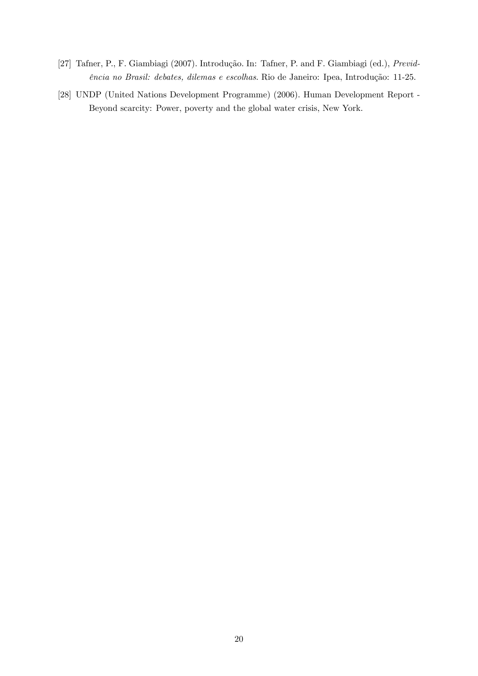- [27] Tafner, P., F. Giambiagi (2007). Introdução. In: Tafner, P. and F. Giambiagi (ed.), Previdência no Brasil: debates, dilemas e escolhas. Rio de Janeiro: Ipea, Introdução: 11-25.
- [28] UNDP (United Nations Development Programme) (2006). Human Development Report Beyond scarcity: Power, poverty and the global water crisis, New York.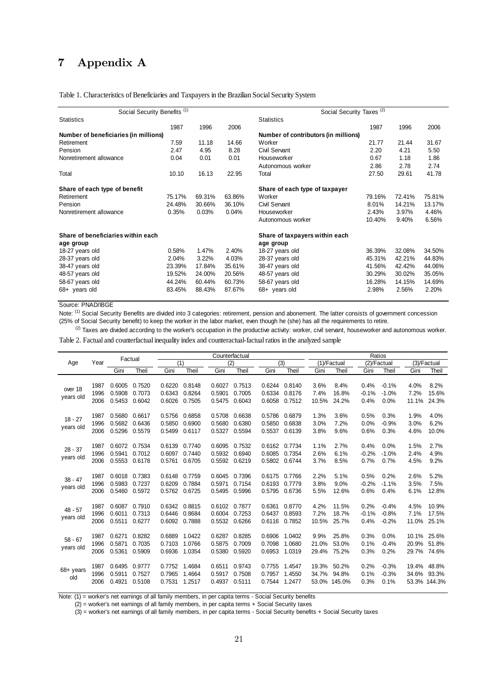# 7 Appendix A

#### Table 1. Characteristics of Beneficiaries and Taxpayers in the Brazilian Social Security System

| Social Security Benefits <sup>(1)</sup> |        |        |        | Social Security Taxes <sup>(2)</sup> |        |        |        |  |  |  |
|-----------------------------------------|--------|--------|--------|--------------------------------------|--------|--------|--------|--|--|--|
| <b>Statistics</b>                       |        |        |        | <b>Statistics</b>                    |        |        |        |  |  |  |
|                                         | 1987   | 1996   | 2006   |                                      | 1987   | 1996   | 2006   |  |  |  |
| Number of beneficiaries (in millions)   |        |        |        | Number of contributors (in millions) |        |        |        |  |  |  |
| Retirement                              | 7.59   | 11.18  | 14.66  | Worker                               | 21.77  | 21.44  | 31.67  |  |  |  |
| Pension                                 | 2.47   | 4.95   | 8.28   | Civil Servant                        | 2.20   | 4.21   | 5.50   |  |  |  |
| Nonretirement allowance                 | 0.04   | 0.01   | 0.01   | Houseworker                          | 0.67   | 1.18   | 1.86   |  |  |  |
|                                         |        |        |        | Autonomous worker                    | 2.86   | 2.78   | 2.74   |  |  |  |
| Total                                   | 10.10  | 16.13  | 22.95  | Total                                | 27.50  | 29.61  | 41.78  |  |  |  |
| Share of each type of benefit           |        |        |        | Share of each type of taxpayer       |        |        |        |  |  |  |
| Retirement                              | 75.17% | 69.31% | 63.86% | Worker                               | 79.16% | 72.41% | 75.81% |  |  |  |
| Pension                                 | 24.48% | 30.66% | 36.10% | Civil Servant                        | 8.01%  | 14.21% | 13.17% |  |  |  |
| Nonretirement allowance                 | 0.35%  | 0.03%  | 0.04%  | Houseworker                          | 2.43%  | 3.97%  | 4.46%  |  |  |  |
|                                         |        |        |        | Autonomous worker                    | 10.40% | 9.40%  | 6.56%  |  |  |  |
| Share of beneficiaries within each      |        |        |        | Share of taxpayers within each       |        |        |        |  |  |  |
| age group                               |        |        |        | age group                            |        |        |        |  |  |  |
| 18-27 years old                         | 0.58%  | 1.47%  | 2.40%  | 18-27 years old                      | 36.39% | 32.08% | 34.50% |  |  |  |
| 28-37 years old                         | 2.04%  | 3.22%  | 4.03%  | 28-37 years old                      | 45.31% | 42.21% | 44.83% |  |  |  |
| 38-47 years old                         | 23.39% | 17.84% | 35.61% | 38-47 years old                      | 41.56% | 42.42% | 44.06% |  |  |  |
| 48-57 years old                         | 19.52% | 24.00% | 20.56% | 48-57 years old                      | 30.29% | 30.02% | 35.05% |  |  |  |
| 58-67 years old                         | 44.24% | 60.44% | 60.73% | 58-67 years old                      | 16.28% | 14.15% | 14.69% |  |  |  |
| $68+$ years old                         | 83.45% | 88.43% | 87.67% | $68+$ years old                      | 2.98%  | 2.56%  | 2.20%  |  |  |  |
|                                         |        |        |        |                                      |        |        |        |  |  |  |

#### Source: PNAD/IBGE

Note: <sup>(1)</sup> Social Security Benefits are divided into 3 categories: retirement, pension and abonement. The latter consists of government concession (25% of Social Security benefit) to keep the worker in the labor market, even though he (she) has all the requirements to retire.

<sup>(2)</sup> Taxes are divided according to the worker's occupation in the productive activity: worker, civil servant, houseworker and autonomous worker.

Table 2. Factual and counterfactual inequality index and counteractual-factual ratios in the analyzed sample

|                        |                      |                            | Factual                    |                            | Counterfactual             |                            |                            |                            |                            | Ratios                  |                          |                         |                               |                         |                                |
|------------------------|----------------------|----------------------------|----------------------------|----------------------------|----------------------------|----------------------------|----------------------------|----------------------------|----------------------------|-------------------------|--------------------------|-------------------------|-------------------------------|-------------------------|--------------------------------|
| Age                    | Year                 |                            |                            | (1)                        |                            |                            | (2)                        | (3)                        |                            |                         | (1)/Factual              |                         | (2)/Factual                   |                         | (3)/Factual                    |
|                        |                      | Gini                       | Theil                      | Gini                       | Theil                      | Gini                       | Theil                      | Gini                       | Theil                      | Gini                    | Theil                    | Gini                    | Theil                         | Gini                    | Theil                          |
| over 18<br>years old   | 1987<br>1996<br>2006 | 0.6005<br>0.5908<br>0.5453 | 0.7520<br>0.7073<br>0.6042 | 0.6220<br>0.6343<br>0.6026 | 0.8148<br>0.8264<br>0.7505 | 0.6027<br>0.5901<br>0.5475 | 0.7513<br>0.7005<br>0.6043 | 0.6244<br>0.6334<br>0.6058 | 0.8140<br>0.8176<br>0.7512 | 3.6%<br>7.4%<br>10.5%   | 8.4%<br>16.8%<br>24.2%   | 0.4%<br>$-0.1%$<br>0.4% | $-0.1%$<br>$-1.0%$<br>0.0%    | 4.0%<br>7.2%<br>11.1%   | 8.2%<br>15.6%<br>24.3%         |
| $18 - 27$<br>years old | 1987<br>1996<br>2006 | 0.5680<br>0.5682<br>0.5296 | 0.6617<br>0.6436<br>0.5579 | 0.5756<br>0.5850<br>0.5499 | 0.6858<br>0.6900<br>0.6117 | 0.5708<br>0.5680<br>0.5327 | 0.6638<br>0.6380<br>0.5594 | 0.5786<br>0.5850<br>0.5537 | 0.6879<br>0.6838<br>0.6139 | 1.3%<br>3.0%<br>3.8%    | 3.6%<br>7.2%<br>9.6%     | 0.5%<br>0.0%<br>0.6%    | 0.3%<br>$-0.9%$<br>0.3%       | 1.9%<br>3.0%<br>4.6%    | 4.0%<br>6.2%<br>10.0%          |
| $28 - 37$<br>years old | 1987<br>1996<br>2006 | 0.6072<br>0.5941<br>0.5553 | 0.7534<br>0.7012<br>0.6178 | 0.6139<br>0.6097<br>0.5761 | 0.7740<br>0.7440<br>0.6705 | 0.6095<br>0.5932<br>0.5592 | 0.7532<br>0.6940<br>0.6219 | 0.6162<br>0.6085<br>0.5802 | 0.7734<br>0.7354<br>0.6744 | 1.1%<br>2.6%<br>3.7%    | 2.7%<br>6.1%<br>8.5%     | 0.4%<br>$-0.2%$<br>0.7% | 0.0%<br>$-1.0%$<br>0.7%       | 1.5%<br>2.4%<br>4.5%    | 2.7%<br>4.9%<br>9.2%           |
| $38 - 47$<br>years old | 1987<br>1996<br>2006 | 0.6018<br>0.5983<br>0.5460 | 0.7383<br>0.7237<br>0.5972 | 0.6148<br>0.6209<br>0.5762 | 0.7759<br>0.7884<br>0.6725 | 0.6045<br>0.5971<br>0.5495 | 0.7396<br>0.7154<br>0.5996 | 0.6175<br>0.6193<br>0.5795 | 0.7766<br>0.7779<br>0.6736 | 2.2%<br>3.8%<br>5.5%    | 5.1%<br>9.0%<br>12.6%    | 0.5%<br>$-0.2%$<br>0.6% | 0.2%<br>$-1.1%$<br>0.4%       | 2.6%<br>3.5%<br>6.1%    | 5.2%<br>7.5%<br>12.8%          |
| $48 - 57$<br>years old | 1987<br>1996<br>2006 | 0.6087<br>0.6011<br>0.5511 | 0.7910<br>0.7313<br>0.6277 | 0.6342<br>0.6446<br>0.6092 | 0.8815<br>0.8684<br>0.7888 | 0.6102<br>0.6004<br>0.5532 | 0.7877<br>0.7253<br>0.6266 | 0.6361<br>0.6437<br>0.6116 | 0.8770<br>0.8593<br>0.7852 | 4.2%<br>7.2%<br>10.5%   | 11.5%<br>18.7%<br>25.7%  | 0.2%<br>$-0.1%$<br>0.4% | $-0.4%$<br>$-0.8%$<br>$-0.2%$ | 4.5%<br>7.1%<br>11.0%   | 10.9%<br>17.5%<br>25.1%        |
| $58 - 67$<br>years old | 1987<br>1996<br>2006 | 0.6271<br>0.5871<br>0.5361 | 0.8282<br>0.7035<br>0.5909 | 0.6889<br>0.7103<br>0.6936 | 1.0422<br>1.0766<br>1.0354 | 0.6287<br>0.5875<br>0.5380 | 0.8285<br>0.7009<br>0.5920 | 0.6906<br>0.7098<br>0.6953 | 1.0402<br>1.0680<br>1.0319 | 9.9%<br>21.0%<br>29.4%  | 25.8%<br>53.0%<br>75.2%  | 0.3%<br>0.1%<br>0.3%    | 0.0%<br>$-0.4%$<br>0.2%       | 10.1%<br>20.9%<br>29.7% | 25.6%<br>51.8%<br>74.6%        |
| $68 +$ years<br>old    | 1987<br>1996<br>2006 | 0.6495<br>0.5911<br>0.4921 | 0.9777<br>0.7527<br>0.5108 | 0.7752<br>0.7965<br>0.7531 | 1.4684<br>1.4664<br>1.2517 | 0.6511<br>0.5917<br>0.4937 | 0.9743<br>0.7508<br>0.5111 | 0.7755<br>0.7957<br>0.7544 | 1.4547<br>1.4550<br>1.2477 | 19.3%<br>34.7%<br>53.0% | 50.2%<br>94.8%<br>145.0% | 0.2%<br>0.1%<br>0.3%    | $-0.3%$<br>$-0.3%$<br>0.1%    | 19.4%<br>34.6%          | 48.8%<br>93.3%<br>53.3% 144.3% |

Note: (1) = worker's net earnings of all family members, in per capita terms - Social Security benefits

 $(2)$  = worker's net earnings of all family members, in per capita terms + Social Security taxes

(3) = worker's net earnings of all family members, in per capita terms - Social Security benefits + Social Security taxes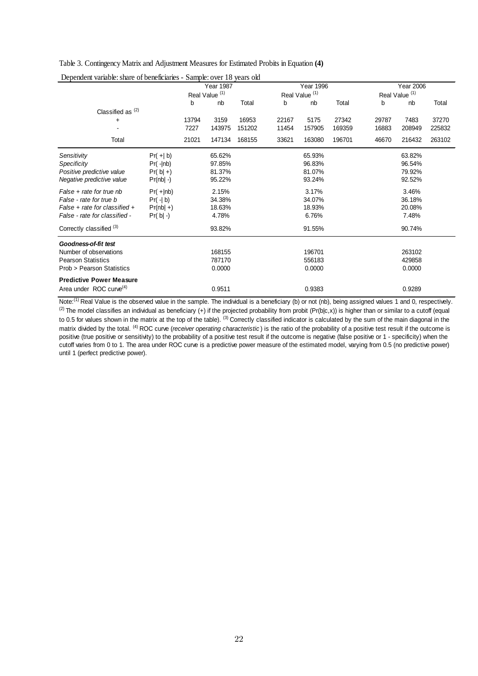Table 3. Contingency Matrix and Adjustment Measures for Estimated Probits in Equation **(4)**

|                                     |              | Year 1987 |                           | <b>Year 1996</b> |       |                           |        | <b>Year 2006</b> |                           |        |
|-------------------------------------|--------------|-----------|---------------------------|------------------|-------|---------------------------|--------|------------------|---------------------------|--------|
|                                     |              |           | Real Value <sup>(1)</sup> |                  |       | Real Value <sup>(1)</sup> |        |                  | Real Value <sup>(1)</sup> |        |
|                                     |              | b         | nb                        | Total            | b     | nb                        | Total  | b                | nb                        | Total  |
| Classified as $(2)$                 |              |           |                           |                  |       |                           |        |                  |                           |        |
| $\ddot{}$                           |              | 13794     | 3159                      | 16953            | 22167 | 5175                      | 27342  | 29787            | 7483                      | 37270  |
|                                     |              | 7227      | 143975                    | 151202           | 11454 | 157905                    | 169359 | 16883            | 208949                    | 225832 |
| Total                               |              | 21021     | 147134                    | 168155           | 33621 | 163080                    | 196701 | 46670            | 216432                    | 263102 |
| Sensitivity                         | $Pr(+ b)$    |           | 65.62%                    |                  |       | 65.93%                    |        |                  | 63.82%                    |        |
| Specificity                         | $Pr( - nb)$  |           | 97.85%                    |                  |       | 96.83%                    |        |                  | 96.54%                    |        |
| Positive predictive value           | $Pr( b  +)$  |           | 81.37%                    |                  |       | 81.07%                    |        |                  | 79.92%                    |        |
| Negative predictive value           | $Pr(nb  - )$ |           | 95.22%                    |                  |       | 93.24%                    |        |                  | 92.52%                    |        |
| False + rate for true nb            | $Pr(+ nb)$   |           | 2.15%                     |                  |       | 3.17%                     |        |                  | 3.46%                     |        |
| False - rate for true b             | $Pr(\neg b)$ |           | 34.38%                    |                  |       | 34.07%                    |        |                  | 36.18%                    |        |
| False + rate for classified +       | $Pr(nb  +)$  |           | 18.63%                    |                  |       | 18.93%                    |        |                  | 20.08%                    |        |
| False - rate for classified -       | $Pr( b  -)$  |           | 4.78%                     |                  |       | 6.76%                     |        |                  | 7.48%                     |        |
| Correctly classified (3)            |              |           | 93.82%                    |                  |       | 91.55%                    |        |                  | 90.74%                    |        |
| Goodness-of-fit test                |              |           |                           |                  |       |                           |        |                  |                           |        |
| Number of observations              |              |           | 168155                    |                  |       | 196701                    |        |                  | 263102                    |        |
| <b>Pearson Statistics</b>           |              |           | 787170                    |                  |       | 556183                    |        |                  | 429858                    |        |
| Prob > Pearson Statistics           |              |           | 0.0000                    |                  |       | 0.0000                    |        |                  | 0.0000                    |        |
| <b>Predictive Power Measure</b>     |              |           |                           |                  |       |                           |        |                  |                           |        |
| Area under ROC curve <sup>(4)</sup> |              |           | 0.9511                    |                  |       | 0.9383                    |        |                  | 0.9289                    |        |

Dependent variable: share of beneficiaries - Sample: over 18 years old

Note:<sup>(1)</sup> Real Value is the observed value in the sample. The individual is a beneficiary (b) or not (nb), being assigned values 1 and 0, respectively. (2) The model classifies an individual as beneficiary (+) if the projected probability from probit (Pr(b|c,x)) is higher than or similar to a cutoff (equal to 0.5 for values shown in the matrix at the top of the table). <sup>(3)</sup> Correctly classified indicator is calculated by the sum of the main diagonal in the matrix divided by the total. <sup>(4)</sup> ROC curve (*receiver operating characteristic*) is the ratio of the probability of a positive test result if the outcome is positive (true positive or sensitivity) to the probability of a positive test result if the outcome is negative (false positive or 1 - specificity) when the cutoff varies from 0 to 1. The area under ROC curve is a predictive power measure of the estimated model, varying from 0.5 (no predictive power) until 1 (perfect predictive power).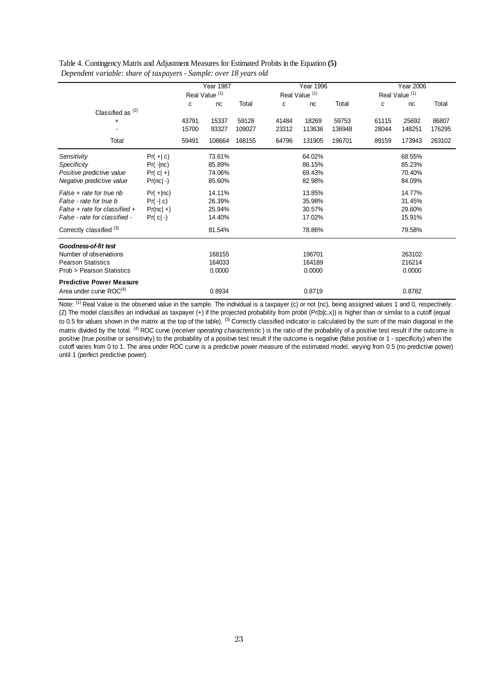| Table 4. Contingency Matrix and Adjustment Measures for Estimated Probits in the Equation (5) |
|-----------------------------------------------------------------------------------------------|
| Dependent variable: share of taxpayers - Sample: over 18 years old                            |

|                                     |              |       | <b>Year 1987</b>          |        |                           | <b>Year 1996</b> |        | <b>Year 2006</b> |                           |        |  |
|-------------------------------------|--------------|-------|---------------------------|--------|---------------------------|------------------|--------|------------------|---------------------------|--------|--|
|                                     |              |       | Real Value <sup>(1)</sup> |        | Real Value <sup>(1)</sup> |                  |        |                  | Real Value <sup>(1)</sup> |        |  |
|                                     |              | C     | nc                        | Total  | C                         | nc               | Total  | c                | nc                        | Total  |  |
| Classified as $(2)$                 |              |       |                           |        |                           |                  |        |                  |                           |        |  |
| $\ddot{}$                           |              | 43791 | 15337                     | 59128  | 41484                     | 18269            | 59753  | 61115            | 25692                     | 86807  |  |
|                                     |              | 15700 | 93327                     | 109027 | 23312                     | 113636           | 136948 | 28044            | 148251                    | 176295 |  |
| Total                               |              | 59491 | 108664                    | 168155 | 64796                     | 131905           | 196701 | 89159            | 173943                    | 263102 |  |
| Sensitivity                         | $Pr(+  c)$   |       | 73.61%                    |        |                           | 64.02%           |        |                  | 68.55%                    |        |  |
| Specificity                         | $Pr( - nc)$  |       | 85.89%                    |        |                           | 86.15%           |        |                  | 85.23%                    |        |  |
| Positive predictive value           | $Pr(c  +)$   |       | 74.06%                    |        |                           | 69.43%           |        |                  | 70.40%                    |        |  |
| Negative predictive value           | $Pr(nc  -)$  |       | 85.60%                    |        |                           | 82.98%           |        |                  | 84.09%                    |        |  |
| False + rate for true nb            | $Pr(+ nc)$   |       | 14.11%                    |        |                           | 13.85%           |        |                  | 14.77%                    |        |  |
| False - rate for true b             | $Pr(\neg c)$ |       | 26.39%                    |        |                           | 35.98%           |        |                  | 31.45%                    |        |  |
| $False + rate$ for classified +     | $Pr(nc  +)$  |       | 25.94%                    |        |                           | 30.57%           |        |                  | 29.60%                    |        |  |
| False - rate for classified -       | $Pr( c  -)$  |       | 14.40%                    |        |                           | 17.02%           |        |                  | 15.91%                    |        |  |
| Correctly classified <sup>(3)</sup> |              |       | 81.54%                    |        |                           | 78.86%           |        |                  | 79.58%                    |        |  |
| Goodness-of-fit test                |              |       |                           |        |                           |                  |        |                  |                           |        |  |
| Number of observations              |              |       | 168155                    |        |                           | 196701           |        |                  | 263102                    |        |  |
| <b>Pearson Statistics</b>           |              |       | 164033                    |        |                           | 164189           |        |                  | 216214                    |        |  |
| Prob > Pearson Statistics           |              |       | 0.0000                    |        |                           | 0.0000           |        |                  | 0.0000                    |        |  |
| <b>Predictive Power Measure</b>     |              |       |                           |        |                           |                  |        |                  |                           |        |  |
| Area under curve ROC <sup>(4)</sup> |              |       | 0.8934                    |        |                           | 0.8719           |        |                  | 0.8782                    |        |  |

cutoff varies from 0 to 1. The area under ROC curve is a predictive power measure of the estimated model, varying from 0.5 (no predictive power) until 1 (perfect predictive power). (2) The model classifies an individual as taxpayer (+) if the projected probability from probit (Pr(b|c,x)) is higher than or similar to a cutoff (equal to 0.5 for values shown in the matrix at the top of the table). <sup>(3)</sup> Correctly classified indicator is calculated by the sum of the main diagonal in the matrix divided by the total. <sup>(4)</sup> ROC curve (*receiver operating characteristic*) is the ratio of the probability of a positive test result if the outcome is positive (true positive or sensitivity) to the probability of a positive test result if the outcome is negative (false positive or 1 - specificity) when the Note: (1) Real Value is the observed value in the sample. The individual is a taxpayer (c) or not (nc), being assigned values 1 and 0, respectively.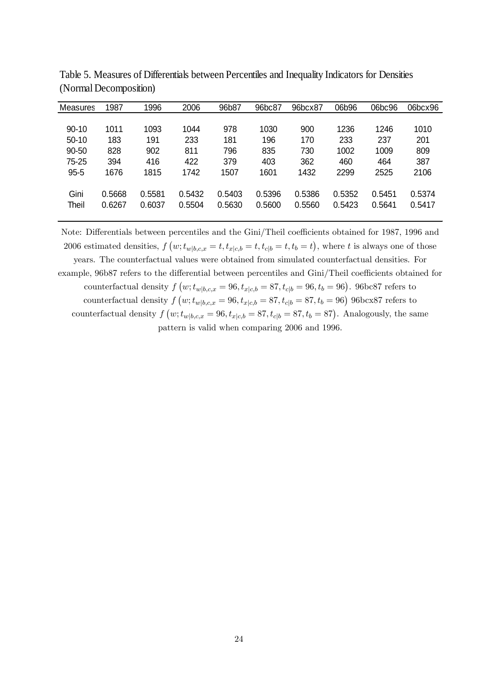| Measures  | 1987   | 1996   | 2006   | 96b87  | 96bc87 | 96bcx87 | 06b96  | 06bc96 | 06bcx96 |
|-----------|--------|--------|--------|--------|--------|---------|--------|--------|---------|
|           |        |        |        |        |        |         |        |        |         |
| $90 - 10$ | 1011   | 1093   | 1044   | 978    | 1030   | 900     | 1236   | 1246   | 1010    |
| $50 - 10$ | 183    | 191    | 233    | 181    | 196    | 170     | 233    | 237    | 201     |
| 90-50     | 828    | 902    | 811    | 796    | 835    | 730     | 1002   | 1009   | 809     |
| 75-25     | 394    | 416    | 422    | 379    | 403    | 362     | 460    | 464    | 387     |
| $95 - 5$  | 1676   | 1815   | 1742   | 1507   | 1601   | 1432    | 2299   | 2525   | 2106    |
|           |        |        |        |        |        |         |        |        |         |
| Gini      | 0.5668 | 0.5581 | 0.5432 | 0.5403 | 0.5396 | 0.5386  | 0.5352 | 0.5451 | 0.5374  |
| Theil     | 0.6267 | 0.6037 | 0.5504 | 0.5630 | 0.5600 | 0.5560  | 0.5423 | 0.5641 | 0.5417  |
|           |        |        |        |        |        |         |        |        |         |

Table 5. Measures of Differentials between Percentiles and Inequality Indicators for Densities (Normal Decomposition)

Note: Differentials between percentiles and the Gini/Theil coefficients obtained for 1987, 1996 and 2006 estimated densities,  $f(w; t_{w|b,c,x} = t, t_{x|c,b} = t, t_{c|b} = t, t_b = t)$ , where t is always one of those years. The counterfactual values were obtained from simulated counterfactual densities. For example, 96b87 refers to the differential between percentiles and Gini/Theil coefficients obtained for counterfactual density  $f(w; t_{w|b,c,x} = 96, t_{x|c,b} = 87, t_{c|b} = 96, t_b = 96)$ . 96bc87 refers to counterfactual density  $f(w; t_{w|b,c,x} = 96, t_{x|c,b} = 87, t_{c|b} = 87, t_b = 96)$  96bcx87 refers to counterfactual density  $f(w; t_{w|b,c,x} = 96, t_{x|c,b} = 87, t_{c|b} = 87, t_b = 87)$ . Analogously, the same pattern is valid when comparing 2006 and 1996.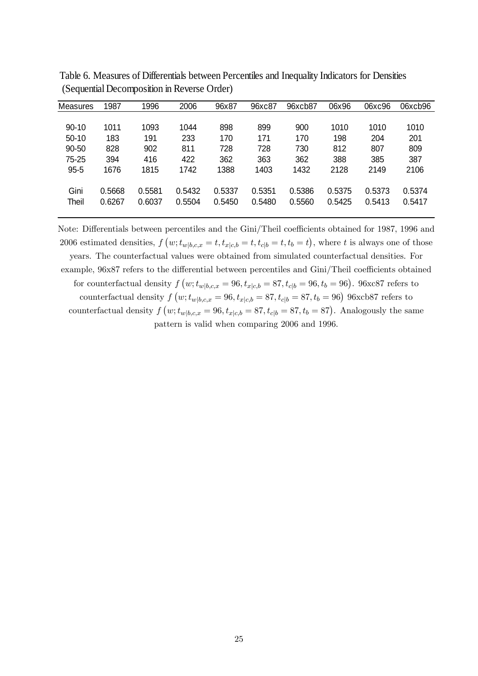| Measures  | 1987   | 1996   | 2006   | 96x87  | 96xc87 | 96xcb87 | 06x96  | 06xc96 | 06xcb96 |
|-----------|--------|--------|--------|--------|--------|---------|--------|--------|---------|
|           |        |        |        |        |        |         |        |        |         |
| $90 - 10$ | 1011   | 1093   | 1044   | 898    | 899    | 900     | 1010   | 1010   | 1010    |
| $50-10$   | 183    | 191    | 233    | 170    | 171    | 170     | 198    | 204    | 201     |
| $90 - 50$ | 828    | 902    | 811    | 728    | 728    | 730     | 812    | 807    | 809     |
| 75-25     | 394    | 416    | 422    | 362    | 363    | 362     | 388    | 385    | 387     |
| $95 - 5$  | 1676   | 1815   | 1742   | 1388   | 1403   | 1432    | 2128   | 2149   | 2106    |
|           |        |        |        |        |        |         |        |        |         |
| Gini      | 0.5668 | 0.5581 | 0.5432 | 0.5337 | 0.5351 | 0.5386  | 0.5375 | 0.5373 | 0.5374  |
| Theil     | 0.6267 | 0.6037 | 0.5504 | 0.5450 | 0.5480 | 0.5560  | 0.5425 | 0.5413 | 0.5417  |
|           |        |        |        |        |        |         |        |        |         |

 (Sequential Decomposition in Reverse Order) Table 6. Measures of Differentials between Percentiles and Inequality Indicators for Densities

Note: Differentials between percentiles and the Gini/Theil coefficients obtained for 1987, 1996 and 2006 estimated densities,  $f(w; t_{w|b,c,x} = t, t_{x|c,b} = t, t_{c|b} = t, t_b = t)$ , where t is always one of those years. The counterfactual values were obtained from simulated counterfactual densities. For example, 96x87 refers to the differential between percentiles and Gini/Theil coefficients obtained for counterfactual density  $f(w; t_{w|b,c,x} = 96, t_{x|c,b} = 87, t_{c|b} = 96, t_b = 96)$ . 96xc87 refers to counterfactual density  $f(w; t_{w|b,c,x} = 96, t_{x|c,b} = 87, t_{c|b} = 87, t_b = 96)$  96xcb87 refers to counterfactual density  $f(w; t_{w|b,c,x} = 96, t_{x|c,b} = 87, t_{c|b} = 87, t_b = 87)$ . Analogously the same pattern is valid when comparing 2006 and 1996.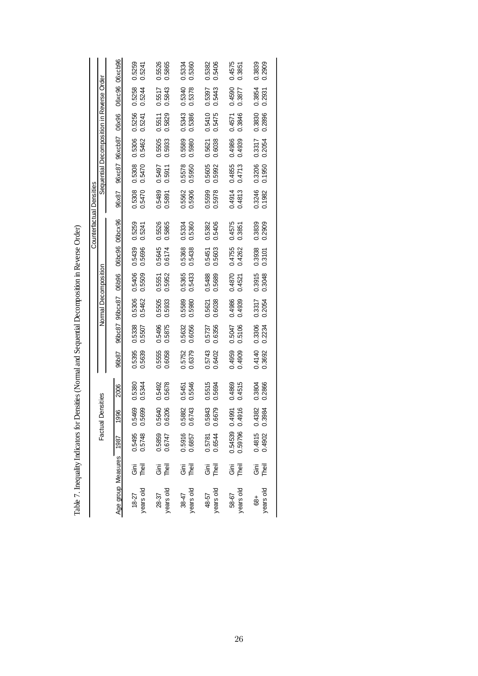|                          |                                           | 06xcb96                 | 0.5259<br>0.5241   | 0.5526<br>0.5865                   | 0.5334<br>0.5360                   | 0.5406<br>0.5382   | 0.4575<br>0.3851   | 0.3839<br>0.2909   |
|--------------------------|-------------------------------------------|-------------------------|--------------------|------------------------------------|------------------------------------|--------------------|--------------------|--------------------|
|                          |                                           | 06xc96                  | 0.5258<br>0.5244   | 0.5517<br>0.5843                   | 0.5340<br>0.5378                   | 0.5443<br>0.5397   | 0.4590<br>0.3877   | 0.3854<br>0.2931   |
|                          |                                           | 06x96                   | 0.5256<br>0.5241   | 0.5829<br>0.5511                   | 0.5343<br>0.5386                   | 0.5410<br>0.5475   | 0.3846<br>0.4571   | 0.3830<br>0.2896   |
|                          | Sequential Decomposition in Reverse Order | 96xcb87                 | 0.5306<br>0.5462   | 0.5505<br>0.5933                   | 0.5589<br>0.5980                   | 0.6038<br>0.5621   | 0.4986<br>0.4939   | 0.3317<br>0.2054   |
|                          |                                           | 96xc87                  | 0.5308<br>0.5470   | 0.5497<br>0.5911                   | 0.5578<br>0.5950                   | 0.5605<br>0.5992   | 0.4855<br>0.4713   | 0.3206<br>0.1950   |
|                          |                                           | 96x87                   | 0.5308<br>0.5470   | 0.5489<br>0.5891                   | 0.5562<br>0.5906                   | 0.5599<br>0.5978   | 0.4914<br>0.4813   | 0.3246<br>0.1982   |
| Counterfactual Densities |                                           |                         | 0.5259<br>0.5241   | 0.5526<br>0.5865                   | 0.5334<br>0.5360                   | 0.5382<br>0.5406   | 0.4575<br>0.3851   | 0.3839<br>0.2909   |
|                          |                                           | 06bc96 06bcx96          | 0.5439<br>0.5696   | 0.5645<br>0.6174                   | 0.5368<br>0.5438                   | 0.5603<br>0.5451   | 0.4755<br>0.4262   | 0.3938<br>0.3101   |
|                          |                                           | <b>O6b96</b>            | 0.5406<br>0.5509   | 0.5952<br>0.5551                   | 0.5365<br>0.5433                   | 0.5488<br>0.5689   | 0.4870<br>0.4521   | 0.3915<br>0.3048   |
|                          | Normal Decomposition                      | 96bcx87                 | 0.5306<br>0.5462   | 0.5505<br>0.5933                   | 0.5589<br>0.5980                   | 0.6038<br>0.5621   | 0.4986<br>0.4939   | 0.3317<br>0.2054   |
|                          |                                           | 96bc87                  | 0.5338<br>0.5507   | 0.5496<br>0.5875                   | 0.5632<br>0.6056                   | 0.6356<br>0.5737   | 0.5047<br>0.5106   | 0.3306<br>0.2234   |
|                          |                                           | 96b87                   | 0.5395<br>0.5639   | 0.5555<br>0.6058                   | 0.5752<br>0.6379                   | 0.5743<br>0.6402   | 0.4959<br>0.4909   | 0.4140<br>0.3692   |
|                          |                                           | 2006                    | 0.5380<br>0.5344   | 0.5492<br>0.5678                   | 0.5546<br>0.5451                   | 0.5515<br>0.5694   | 0.4869<br>0.4515   | 0.3804<br>0.2866   |
|                          | Factual Densities                         | 1996                    | 0.5469<br>0.5699   | 0.5640<br>0.6206                   | 0.5882<br>0.6743                   | 0.5843<br>0.6679   | 0.4991<br>0.4916   | 0.4382<br>0.3984   |
|                          |                                           |                         | 0.5495<br>0.5748   | 0.5859<br>0.6747                   | 0.5916<br>0.6857                   | 0.5781<br>0.6544   | 0.54539<br>0.59796 | 0.4815<br>0.4902   |
|                          |                                           |                         | Theil<br>ັງ ເ      | $\overline{\overline{5}}$<br>Theil | $\overline{\overline{5}}$<br>Theil | Theil<br>Ξ.        | Ξ.<br>Θ<br>Theil   | Theil<br>Ξ.<br>Θ   |
|                          |                                           | Age group Measures 1987 | years old<br>18-27 | years old<br>28-37                 | years old<br>38-47                 | years old<br>48-57 | years old<br>58-67 | years old<br>$+89$ |

Table 7. Inequality Indicators for Densities (Normal and Sequential Decomposition in Reverse Order) Table 7. Inequality Indicators for Densities (Normal and Sequential Decomposition in Reverse Order)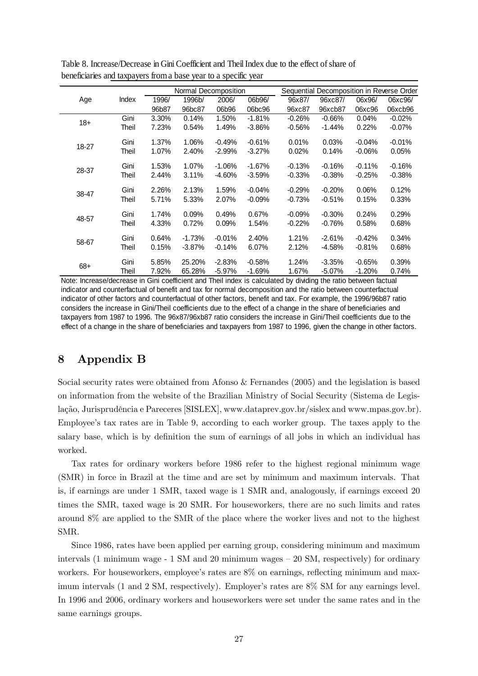|       |       |       | Normal Decomposition |           |           |          |           |          | Sequential Decomposition in Reverse Order |
|-------|-------|-------|----------------------|-----------|-----------|----------|-----------|----------|-------------------------------------------|
| Age   | Index | 1996/ | 1996b/               | 2006/     | 06b96/    | 96x87/   | 96xc87/   | 06x96/   | 06xc96/                                   |
|       |       | 96b87 | 96bc87               | 06b96     | 06bc96    | 96xc87   | 96xcb87   | 06xc96   | 06xcb96                                   |
| $18+$ | Gini  | 3.30% | 0.14%                | 1.50%     | $-1.81%$  | $-0.26%$ | $-0.66%$  | 0.04%    | $-0.02%$                                  |
|       | Theil | 7.23% | 0.54%                | 1.49%     | $-3.86%$  | $-0.56%$ | $-1.44%$  | 0.22%    | $-0.07%$                                  |
| 18-27 | Gini  | 1.37% | 1.06%                | $-0.49%$  | $-0.61%$  | 0.01%    | 0.03%     | $-0.04%$ | $-0.01%$                                  |
|       | Theil | 1.07% | 2.40%                | $-2.99%$  | $-3.27%$  | 0.02%    | 0.14%     | $-0.06%$ | 0.05%                                     |
| 28-37 | Gini  | 1.53% | 1.07%                | $-1.06\%$ | $-1.67%$  | $-0.13%$ | $-0.16%$  | $-0.11%$ | $-0.16%$                                  |
|       | Theil | 2.44% | 3.11%                | $-4.60%$  | $-3.59\%$ | $-0.33%$ | $-0.38%$  | $-0.25%$ | $-0.38%$                                  |
| 38-47 | Gini  | 2.26% | 2.13%                | 1.59%     | $-0.04%$  | $-0.29%$ | $-0.20%$  | 0.06%    | 0.12%                                     |
|       | Theil | 5.71% | 5.33%                | 2.07%     | $-0.09\%$ | $-0.73%$ | $-0.51%$  | 0.15%    | 0.33%                                     |
| 48-57 | Gini  | 1.74% | 0.09%                | 0.49%     | 0.67%     | $-0.09%$ | $-0.30%$  | 0.24%    | 0.29%                                     |
|       | Theil | 4.33% | 0.72%                | 0.09%     | 1.54%     | $-0.22%$ | $-0.76%$  | 0.58%    | 0.68%                                     |
|       | Gini  | 0.64% | $-1.73%$             | $-0.01%$  | 2.40%     | 1.21%    | $-2.61%$  | $-0.42%$ | 0.34%                                     |
| 58-67 | Theil | 0.15% | $-3.87%$             | $-0.14%$  | 6.07%     | 2.12%    | $-4.58%$  | $-0.81%$ | 0.68%                                     |
|       | Gini  | 5.85% | 25.20%               | $-2.83%$  | $-0.58%$  | 1.24%    | $-3.35%$  | $-0.65%$ | 0.39%                                     |
| $68+$ | Theil | 7.92% | 65.28%               | $-5.97%$  | $-1.69%$  | 1.67%    | $-5.07\%$ | $-1.20%$ | 0.74%                                     |

Table 8. Increase/Decrease in Gini Coefficient and Theil Index due to the effect of share of beneficiaries and taxpayers from a base year to a specific year

Note: Increase/decrease in Gini coefficient and Theil index is calculated by dividing the ratio between factual indicator and counterfactual of benefit and tax for normal decomposition and the ratio between counterfactual indicator of other factors and counterfactual of other factors, benefit and tax. For example, the 1996/96b87 ratio considers the increase in Gini/Theil coefficients due to the effect of a change in the share of beneficiaries and taxpayers from 1987 to 1996. The 96x87/96xb87 ratio considers the increase in Gini/Theil coefficients due to the effect of a change in the share of beneficiaries and taxpayers from 1987 to 1996, given the change in other factors.

# 8 Appendix B

Social security rates were obtained from Afonso & Fernandes (2005) and the legislation is based on information from the website of the Brazilian Ministry of Social Security (Sistema de Legislação, Jurisprudência e Pareceres [SISLEX], www.dataprev.gov.br/sislex and www.mpas.gov.br). Employee's tax rates are in Table 9, according to each worker group. The taxes apply to the salary base, which is by definition the sum of earnings of all jobs in which an individual has worked.

Tax rates for ordinary workers before 1986 refer to the highest regional minimum wage (SMR) in force in Brazil at the time and are set by minimum and maximum intervals. That is, if earnings are under 1 SMR, taxed wage is 1 SMR and, analogously, if earnings exceed 20 times the SMR, taxed wage is 20 SMR. For houseworkers, there are no such limits and rates around 8% are applied to the SMR of the place where the worker lives and not to the highest SMR.

Since 1986, rates have been applied per earning group, considering minimum and maximum intervals (1 minimum wage  $-1$  SM and 20 minimum wages  $-20$  SM, respectively) for ordinary workers. For houseworkers, employee's rates are  $8\%$  on earnings, reflecting minimum and maximum intervals  $(1 \text{ and } 2 \text{ SM}, \text{respectively})$ . Employer's rates are  $8\%$  SM for any earnings level. In 1996 and 2006, ordinary workers and houseworkers were set under the same rates and in the same earnings groups.